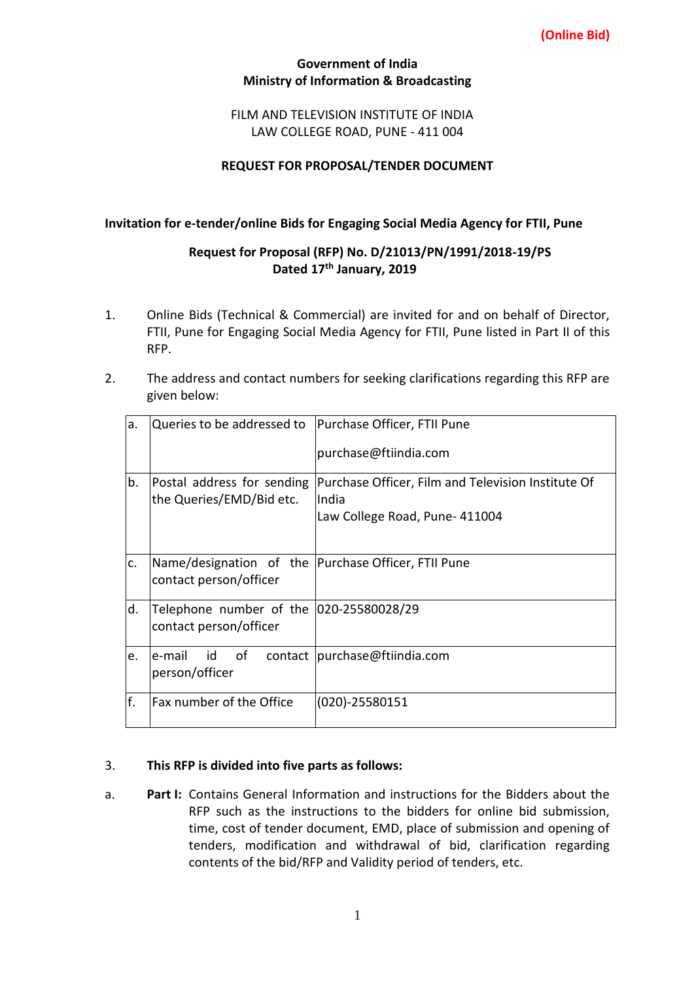## **(Online Bid)**

### **Government of India Ministry of Information & Broadcasting**

## FILM AND TELEVISION INSTITUTE OF INDIA LAW COLLEGE ROAD, PUNE - 411 004

## **REQUEST FOR PROPOSAL/TENDER DOCUMENT**

### **Invitation for e-tender/online Bids for Engaging Social Media Agency for FTII, Pune**

# **Request for Proposal (RFP) No. D/21013/PN/1991/2018-19/PS Dated 17th January, 2019**

- 1. Online Bids (Technical & Commercial) are invited for and on behalf of Director, FTII, Pune for Engaging Social Media Agency for FTII, Pune listed in Part II of this RFP.
- 2. The address and contact numbers for seeking clarifications regarding this RFP are given below:

| a.  | Queries to be addressed to   Purchase Officer, FTII Pune                      | purchase@ftiindia.com                                                                         |
|-----|-------------------------------------------------------------------------------|-----------------------------------------------------------------------------------------------|
| b.  | Postal address for sending<br>the Queries/EMD/Bid etc.                        | Purchase Officer, Film and Television Institute Of<br>IIndia<br>Law College Road, Pune-411004 |
| c.  | Name/designation of the Purchase Officer, FTII Pune<br>contact person/officer |                                                                                               |
| d.  | Telephone number of the 020-25580028/29<br>contact person/officer             |                                                                                               |
| le. | of<br>le-mail<br>id<br>person/officer                                         | contact   purchase@ftiindia.com                                                               |
| f.  | Fax number of the Office                                                      | $(020) - 25580151$                                                                            |

### 3. **This RFP is divided into five parts as follows:**

a. **Part I:** Contains General Information and instructions for the Bidders about the RFP such as the instructions to the bidders for online bid submission, time, cost of tender document, EMD, place of submission and opening of tenders, modification and withdrawal of bid, clarification regarding contents of the bid/RFP and Validity period of tenders, etc.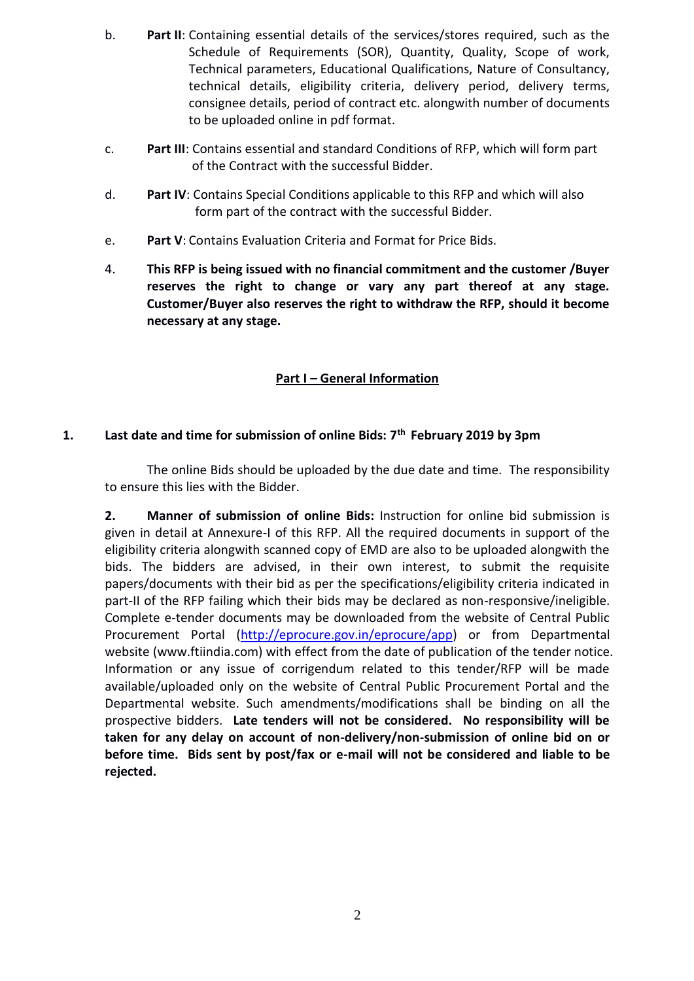- b. **Part II**: Containing essential details of the services/stores required, such as the Schedule of Requirements (SOR), Quantity, Quality, Scope of work, Technical parameters, Educational Qualifications, Nature of Consultancy, technical details, eligibility criteria, delivery period, delivery terms, consignee details, period of contract etc. alongwith number of documents to be uploaded online in pdf format.
- c. **Part III**: Contains essential and standard Conditions of RFP, which will form part of the Contract with the successful Bidder.
- d. **Part IV**: Contains Special Conditions applicable to this RFP and which will also form part of the contract with the successful Bidder.
- e. **Part V**: Contains Evaluation Criteria and Format for Price Bids.
- 4. **This RFP is being issued with no financial commitment and the customer /Buyer reserves the right to change or vary any part thereof at any stage. Customer/Buyer also reserves the right to withdraw the RFP, should it become necessary at any stage.**

# **Part I – General Information**

# **1. Last date and time for submission of online Bids: 7th February 2019 by 3pm**

The online Bids should be uploaded by the due date and time. The responsibility to ensure this lies with the Bidder.

**2. Manner of submission of online Bids:** Instruction for online bid submission is given in detail at Annexure-I of this RFP. All the required documents in support of the eligibility criteria alongwith scanned copy of EMD are also to be uploaded alongwith the bids. The bidders are advised, in their own interest, to submit the requisite papers/documents with their bid as per the specifications/eligibility criteria indicated in part-II of the RFP failing which their bids may be declared as non-responsive/ineligible. Complete e-tender documents may be downloaded from the website of Central Public Procurement Portal [\(http://eprocure.gov.in/eprocure/app\)](http://eprocure.gov.in/eprocure/app) or from Departmental website (www.ftiindia.com) with effect from the date of publication of the tender notice. Information or any issue of corrigendum related to this tender/RFP will be made available/uploaded only on the website of Central Public Procurement Portal and the Departmental website. Such amendments/modifications shall be binding on all the prospective bidders. **Late tenders will not be considered. No responsibility will be taken for any delay on account of non-delivery/non-submission of online bid on or before time. Bids sent by post/fax or e-mail will not be considered and liable to be rejected.**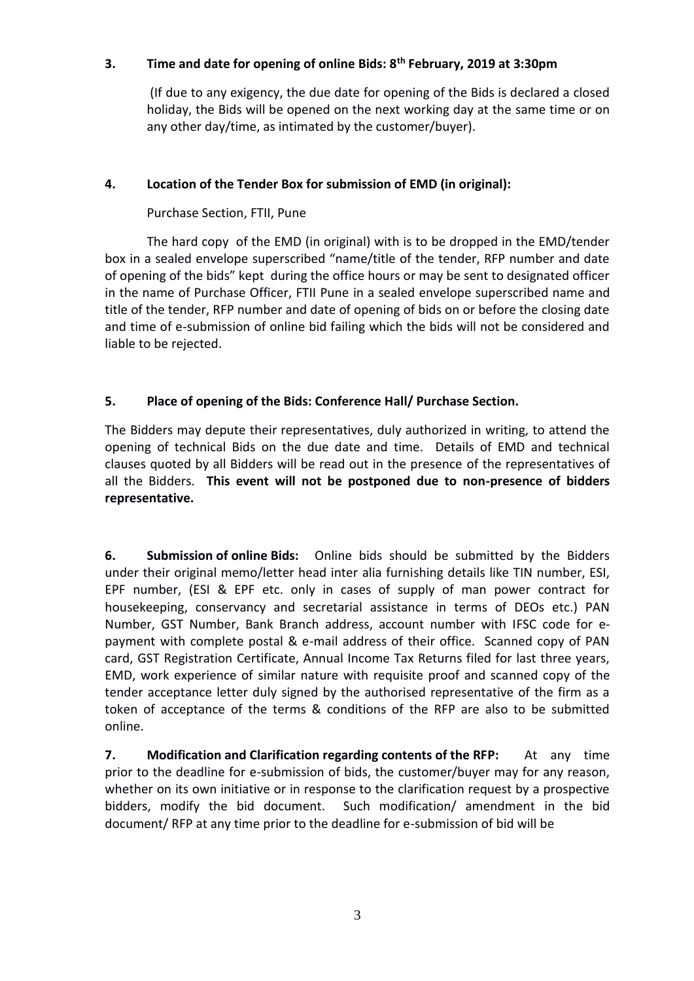# **3. Time and date for opening of online Bids: 8th February, 2019 at 3:30pm**

(If due to any exigency, the due date for opening of the Bids is declared a closed holiday, the Bids will be opened on the next working day at the same time or on any other day/time, as intimated by the customer/buyer).

# **4. Location of the Tender Box for submission of EMD (in original):**

Purchase Section, FTII, Pune

The hard copy of the EMD (in original) with is to be dropped in the EMD/tender box in a sealed envelope superscribed "name/title of the tender, RFP number and date of opening of the bids" kept during the office hours or may be sent to designated officer in the name of Purchase Officer, FTII Pune in a sealed envelope superscribed name and title of the tender, RFP number and date of opening of bids on or before the closing date and time of e-submission of online bid failing which the bids will not be considered and liable to be rejected.

# **5. Place of opening of the Bids: Conference Hall/ Purchase Section.**

The Bidders may depute their representatives, duly authorized in writing, to attend the opening of technical Bids on the due date and time. Details of EMD and technical clauses quoted by all Bidders will be read out in the presence of the representatives of all the Bidders. **This event will not be postponed due to non-presence of bidders representative.**

**6. Submission of online Bids:** Online bids should be submitted by the Bidders under their original memo/letter head inter alia furnishing details like TIN number, ESI, EPF number, (ESI & EPF etc. only in cases of supply of man power contract for housekeeping, conservancy and secretarial assistance in terms of DEOs etc.) PAN Number, GST Number, Bank Branch address, account number with IFSC code for epayment with complete postal & e-mail address of their office. Scanned copy of PAN card, GST Registration Certificate, Annual Income Tax Returns filed for last three years, EMD, work experience of similar nature with requisite proof and scanned copy of the tender acceptance letter duly signed by the authorised representative of the firm as a token of acceptance of the terms & conditions of the RFP are also to be submitted online.

**7. Modification and Clarification regarding contents of the RFP:** At any time prior to the deadline for e-submission of bids, the customer/buyer may for any reason, whether on its own initiative or in response to the clarification request by a prospective bidders, modify the bid document. Such modification/ amendment in the bid document/ RFP at any time prior to the deadline for e-submission of bid will be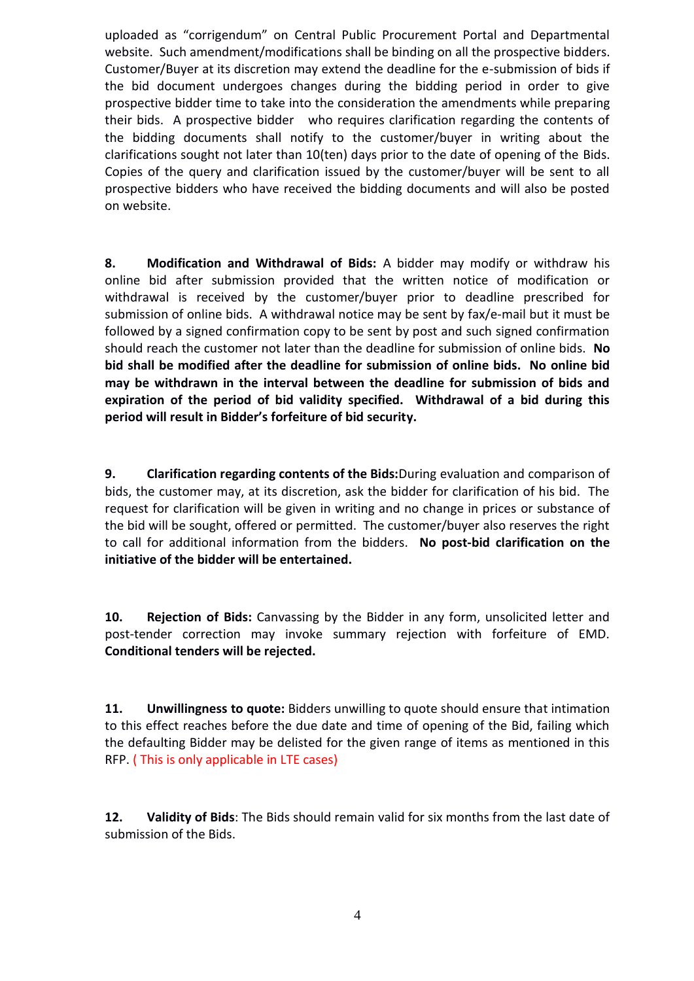uploaded as "corrigendum" on Central Public Procurement Portal and Departmental website. Such amendment/modifications shall be binding on all the prospective bidders. Customer/Buyer at its discretion may extend the deadline for the e-submission of bids if the bid document undergoes changes during the bidding period in order to give prospective bidder time to take into the consideration the amendments while preparing their bids. A prospective bidder who requires clarification regarding the contents of the bidding documents shall notify to the customer/buyer in writing about the clarifications sought not later than 10(ten) days prior to the date of opening of the Bids. Copies of the query and clarification issued by the customer/buyer will be sent to all prospective bidders who have received the bidding documents and will also be posted on website.

**8. Modification and Withdrawal of Bids:** A bidder may modify or withdraw his online bid after submission provided that the written notice of modification or withdrawal is received by the customer/buyer prior to deadline prescribed for submission of online bids. A withdrawal notice may be sent by fax/e-mail but it must be followed by a signed confirmation copy to be sent by post and such signed confirmation should reach the customer not later than the deadline for submission of online bids. **No bid shall be modified after the deadline for submission of online bids. No online bid may be withdrawn in the interval between the deadline for submission of bids and expiration of the period of bid validity specified. Withdrawal of a bid during this period will result in Bidder's forfeiture of bid security.**

**9. Clarification regarding contents of the Bids:**During evaluation and comparison of bids, the customer may, at its discretion, ask the bidder for clarification of his bid. The request for clarification will be given in writing and no change in prices or substance of the bid will be sought, offered or permitted. The customer/buyer also reserves the right to call for additional information from the bidders. **No post-bid clarification on the initiative of the bidder will be entertained.**

**10. Rejection of Bids:** Canvassing by the Bidder in any form, unsolicited letter and post-tender correction may invoke summary rejection with forfeiture of EMD. **Conditional tenders will be rejected.**

**11. Unwillingness to quote:** Bidders unwilling to quote should ensure that intimation to this effect reaches before the due date and time of opening of the Bid, failing which the defaulting Bidder may be delisted for the given range of items as mentioned in this RFP. ( This is only applicable in LTE cases)

**12. Validity of Bids**: The Bids should remain valid for six months from the last date of submission of the Bids.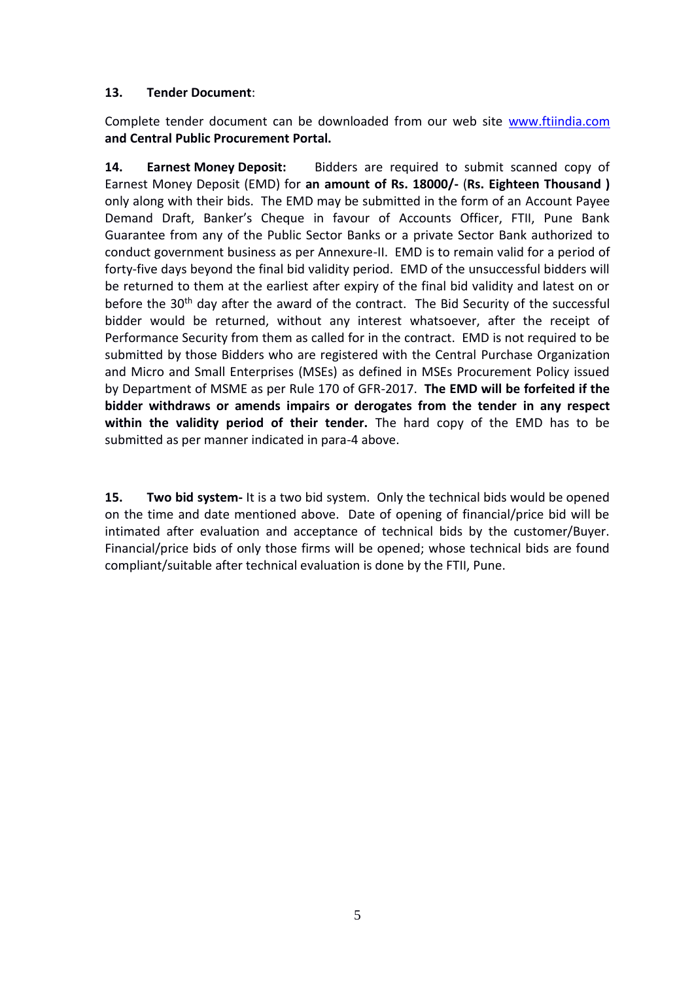# **13. Tender Document**:

Complete tender document can be downloaded from our web site [www.ftiindia.com](http://www.ftiindia.com/) **and Central Public Procurement Portal.**

**14. Earnest Money Deposit:** Bidders are required to submit scanned copy of Earnest Money Deposit (EMD) for **an amount of Rs. 18000/-** (**Rs. Eighteen Thousand )** only along with their bids. The EMD may be submitted in the form of an Account Payee Demand Draft, Banker's Cheque in favour of Accounts Officer, FTII, Pune Bank Guarantee from any of the Public Sector Banks or a private Sector Bank authorized to conduct government business as per Annexure-II. EMD is to remain valid for a period of forty-five days beyond the final bid validity period. EMD of the unsuccessful bidders will be returned to them at the earliest after expiry of the final bid validity and latest on or before the 30<sup>th</sup> day after the award of the contract. The Bid Security of the successful bidder would be returned, without any interest whatsoever, after the receipt of Performance Security from them as called for in the contract. EMD is not required to be submitted by those Bidders who are registered with the Central Purchase Organization and Micro and Small Enterprises (MSEs) as defined in MSEs Procurement Policy issued by Department of MSME as per Rule 170 of GFR-2017. **The EMD will be forfeited if the bidder withdraws or amends impairs or derogates from the tender in any respect within the validity period of their tender.** The hard copy of the EMD has to be submitted as per manner indicated in para-4 above.

**15. Two bid system-** It is a two bid system. Only the technical bids would be opened on the time and date mentioned above. Date of opening of financial/price bid will be intimated after evaluation and acceptance of technical bids by the customer/Buyer. Financial/price bids of only those firms will be opened; whose technical bids are found compliant/suitable after technical evaluation is done by the FTII, Pune.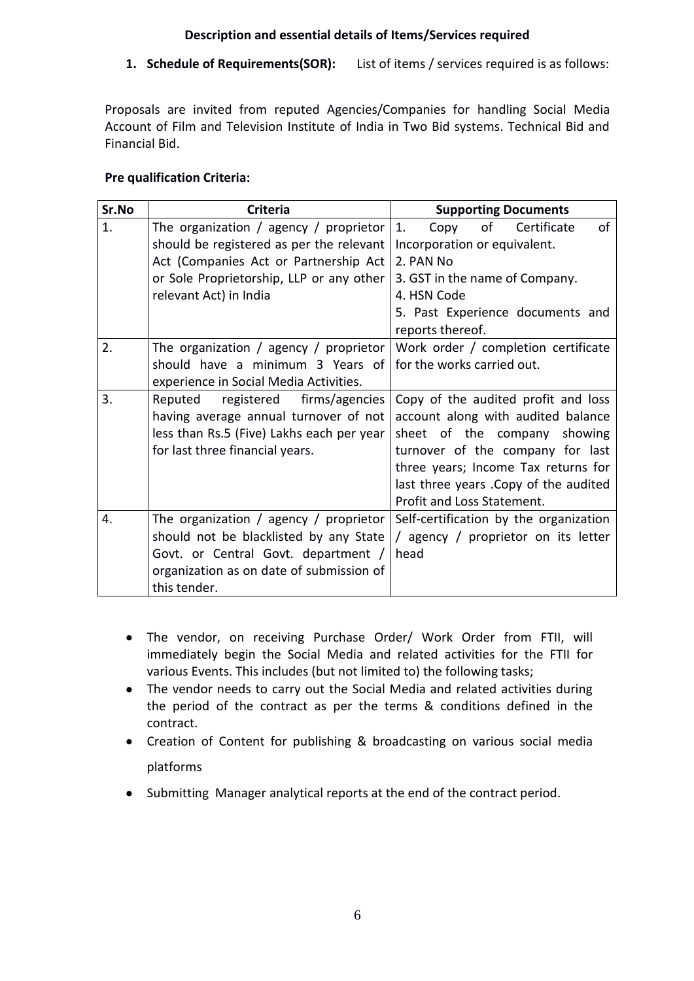# **Description and essential details of Items/Services required**

**1. Schedule of Requirements(SOR):** List of items / services required is as follows:

Proposals are invited from reputed Agencies/Companies for handling Social Media Account of Film and Television Institute of India in Two Bid systems. Technical Bid and Financial Bid.

# **Pre qualification Criteria:**

| Sr.No | <b>Criteria</b>                                                                                                                                                                     | <b>Supporting Documents</b>                                                                                                                                                                                                                                  |
|-------|-------------------------------------------------------------------------------------------------------------------------------------------------------------------------------------|--------------------------------------------------------------------------------------------------------------------------------------------------------------------------------------------------------------------------------------------------------------|
| 1.    | The organization / agency / proprietor<br>should be registered as per the relevant                                                                                                  | of<br>of<br>Certificate<br>1.<br>Copy<br>Incorporation or equivalent.                                                                                                                                                                                        |
|       | Act (Companies Act or Partnership Act                                                                                                                                               | 2. PAN No                                                                                                                                                                                                                                                    |
|       | or Sole Proprietorship, LLP or any other                                                                                                                                            | 3. GST in the name of Company.                                                                                                                                                                                                                               |
|       | relevant Act) in India                                                                                                                                                              | 4. HSN Code                                                                                                                                                                                                                                                  |
|       |                                                                                                                                                                                     | 5. Past Experience documents and<br>reports thereof.                                                                                                                                                                                                         |
| 2.    | The organization / agency / proprietor                                                                                                                                              | Work order / completion certificate                                                                                                                                                                                                                          |
|       | should have a minimum 3 Years of<br>experience in Social Media Activities.                                                                                                          | for the works carried out.                                                                                                                                                                                                                                   |
| 3.    | firms/agencies<br>Reputed<br>registered<br>having average annual turnover of not<br>less than Rs.5 (Five) Lakhs each per year<br>for last three financial years.                    | Copy of the audited profit and loss<br>account along with audited balance<br>sheet of the company showing<br>turnover of the company for last<br>three years; Income Tax returns for<br>last three years . Copy of the audited<br>Profit and Loss Statement. |
| 4.    | The organization / agency / proprietor<br>should not be blacklisted by any State<br>Govt. or Central Govt. department /<br>organization as on date of submission of<br>this tender. | Self-certification by the organization<br>/ agency / proprietor on its letter<br>head                                                                                                                                                                        |

- The vendor, on receiving Purchase Order/ Work Order from FTII, will immediately begin the Social Media and related activities for the FTII for various Events. This includes (but not limited to) the following tasks;
- The vendor needs to carry out the Social Media and related activities during the period of the contract as per the terms & conditions defined in the contract.
- Creation of Content for publishing & broadcasting on various social media platforms
- Submitting Manager analytical reports at the end of the contract period.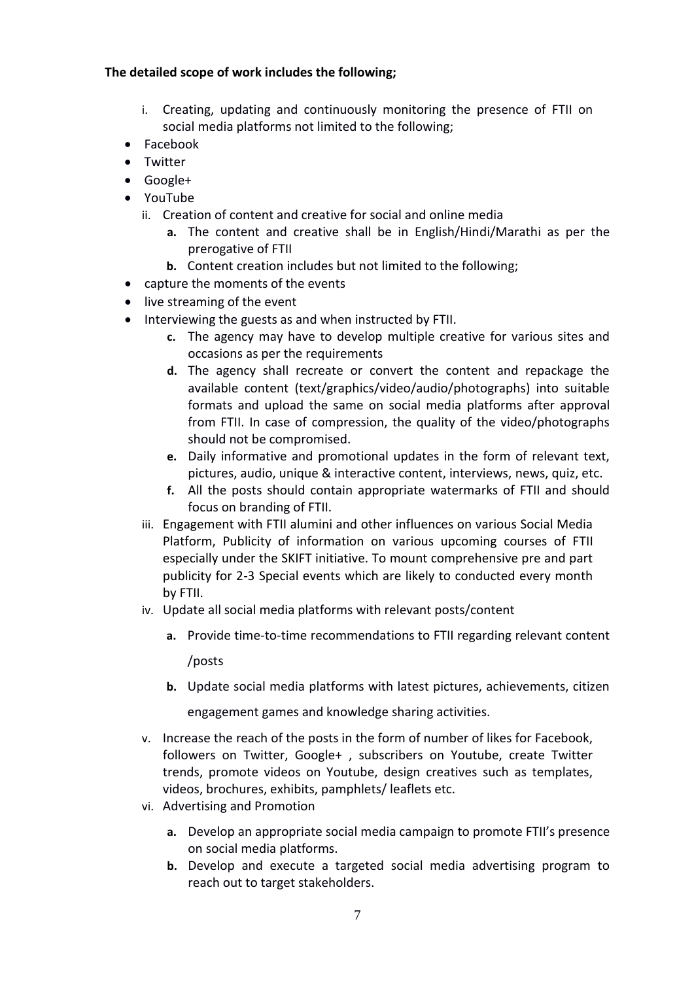### **The detailed scope of work includes the following;**

- i. Creating, updating and continuously monitoring the presence of FTII on social media platforms not limited to the following;
- Facebook
- Twitter
- Google+
- YouTube
	- ii. Creation of content and creative for social and online media
		- **a.** The content and creative shall be in English/Hindi/Marathi as per the prerogative of FTII
		- **b.** Content creation includes but not limited to the following;
- capture the moments of the events
- live streaming of the event
- Interviewing the guests as and when instructed by FTII.
	- **c.** The agency may have to develop multiple creative for various sites and occasions as per the requirements
	- **d.** The agency shall recreate or convert the content and repackage the available content (text/graphics/video/audio/photographs) into suitable formats and upload the same on social media platforms after approval from FTII. In case of compression, the quality of the video/photographs should not be compromised.
	- **e.** Daily informative and promotional updates in the form of relevant text, pictures, audio, unique & interactive content, interviews, news, quiz, etc.
	- **f.** All the posts should contain appropriate watermarks of FTII and should focus on branding of FTII.
	- iii. Engagement with FTII alumini and other influences on various Social Media Platform, Publicity of information on various upcoming courses of FTII especially under the SKIFT initiative. To mount comprehensive pre and part publicity for 2-3 Special events which are likely to conducted every month by FTII.
	- iv. Update all social media platforms with relevant posts/content
		- **a.** Provide time-to-time recommendations to FTII regarding relevant content /posts
		- **b.** Update social media platforms with latest pictures, achievements, citizen

engagement games and knowledge sharing activities.

- v. Increase the reach of the posts in the form of number of likes for Facebook, followers on Twitter, Google+ , subscribers on Youtube, create Twitter trends, promote videos on Youtube, design creatives such as templates, videos, brochures, exhibits, pamphlets/ leaflets etc.
- vi. Advertising and Promotion
	- **a.** Develop an appropriate social media campaign to promote FTII's presence on social media platforms.
	- **b.** Develop and execute a targeted social media advertising program to reach out to target stakeholders.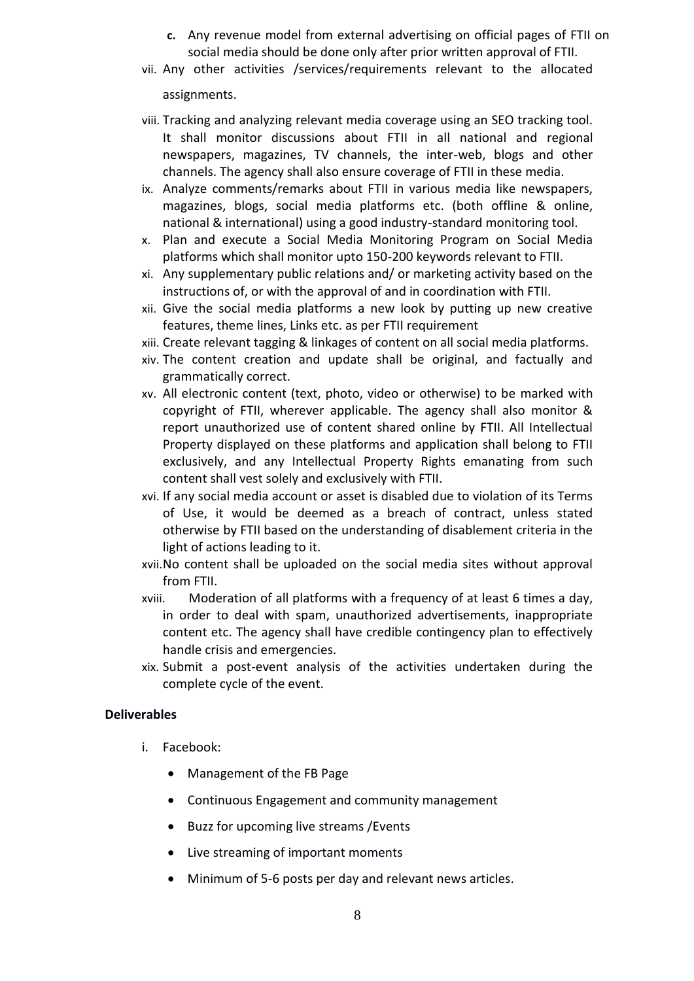- **c.** Any revenue model from external advertising on official pages of FTII on social media should be done only after prior written approval of FTII.
- vii. Any other activities /services/requirements relevant to the allocated

assignments.

- viii. Tracking and analyzing relevant media coverage using an SEO tracking tool. It shall monitor discussions about FTII in all national and regional newspapers, magazines, TV channels, the inter-web, blogs and other channels. The agency shall also ensure coverage of FTII in these media.
- ix. Analyze comments/remarks about FTII in various media like newspapers, magazines, blogs, social media platforms etc. (both offline & online, national & international) using a good industry-standard monitoring tool.
- x. Plan and execute a Social Media Monitoring Program on Social Media platforms which shall monitor upto 150-200 keywords relevant to FTII.
- xi. Any supplementary public relations and/ or marketing activity based on the instructions of, or with the approval of and in coordination with FTII.
- xii. Give the social media platforms a new look by putting up new creative features, theme lines, Links etc. as per FTII requirement
- xiii. Create relevant tagging & linkages of content on all social media platforms.
- xiv. The content creation and update shall be original, and factually and grammatically correct.
- xv. All electronic content (text, photo, video or otherwise) to be marked with copyright of FTII, wherever applicable. The agency shall also monitor & report unauthorized use of content shared online by FTII. All Intellectual Property displayed on these platforms and application shall belong to FTII exclusively, and any Intellectual Property Rights emanating from such content shall vest solely and exclusively with FTII.
- xvi. If any social media account or asset is disabled due to violation of its Terms of Use, it would be deemed as a breach of contract, unless stated otherwise by FTII based on the understanding of disablement criteria in the light of actions leading to it.
- xvii.No content shall be uploaded on the social media sites without approval from FTII.
- xviii. Moderation of all platforms with a frequency of at least 6 times a day, in order to deal with spam, unauthorized advertisements, inappropriate content etc. The agency shall have credible contingency plan to effectively handle crisis and emergencies.
- xix. Submit a post-event analysis of the activities undertaken during the complete cycle of the event.

### **Deliverables**

- i. Facebook:
	- Management of the FB Page
	- Continuous Engagement and community management
	- Buzz for upcoming live streams / Events
	- Live streaming of important moments
	- Minimum of 5-6 posts per day and relevant news articles.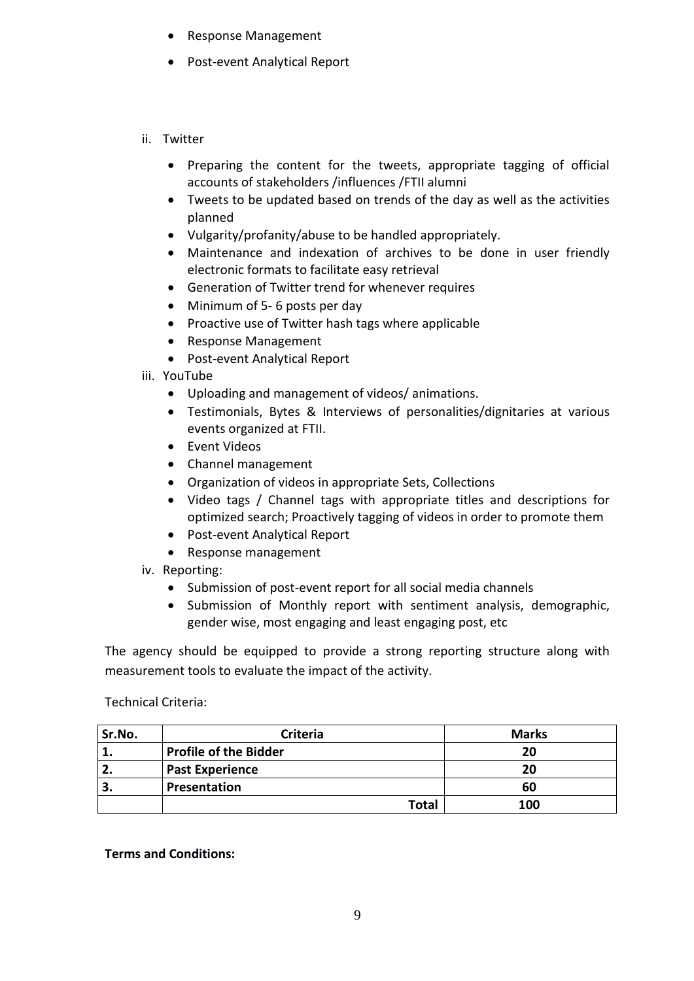- Response Management
- Post-event Analytical Report
- ii. Twitter
	- Preparing the content for the tweets, appropriate tagging of official accounts of stakeholders /influences /FTII alumni
	- Tweets to be updated based on trends of the day as well as the activities planned
	- Vulgarity/profanity/abuse to be handled appropriately.
	- Maintenance and indexation of archives to be done in user friendly electronic formats to facilitate easy retrieval
	- Generation of Twitter trend for whenever requires
	- Minimum of 5-6 posts per day
	- Proactive use of Twitter hash tags where applicable
	- Response Management
	- Post-event Analytical Report
- iii. YouTube
	- Uploading and management of videos/ animations.
	- Testimonials, Bytes & Interviews of personalities/dignitaries at various events organized at FTII.
	- Event Videos
	- Channel management
	- Organization of videos in appropriate Sets, Collections
	- Video tags / Channel tags with appropriate titles and descriptions for optimized search; Proactively tagging of videos in order to promote them
	- Post-event Analytical Report
	- Response management

iv. Reporting:

- Submission of post-event report for all social media channels
- Submission of Monthly report with sentiment analysis, demographic, gender wise, most engaging and least engaging post, etc

The agency should be equipped to provide a strong reporting structure along with measurement tools to evaluate the impact of the activity.

Technical Criteria:

| Sr.No. | <b>Criteria</b>              | <b>Marks</b> |
|--------|------------------------------|--------------|
|        | <b>Profile of the Bidder</b> | 20           |
|        | <b>Past Experience</b>       | 20           |
|        | Presentation                 | 60           |
|        | <b>Total</b>                 | 100          |

**Terms and Conditions:**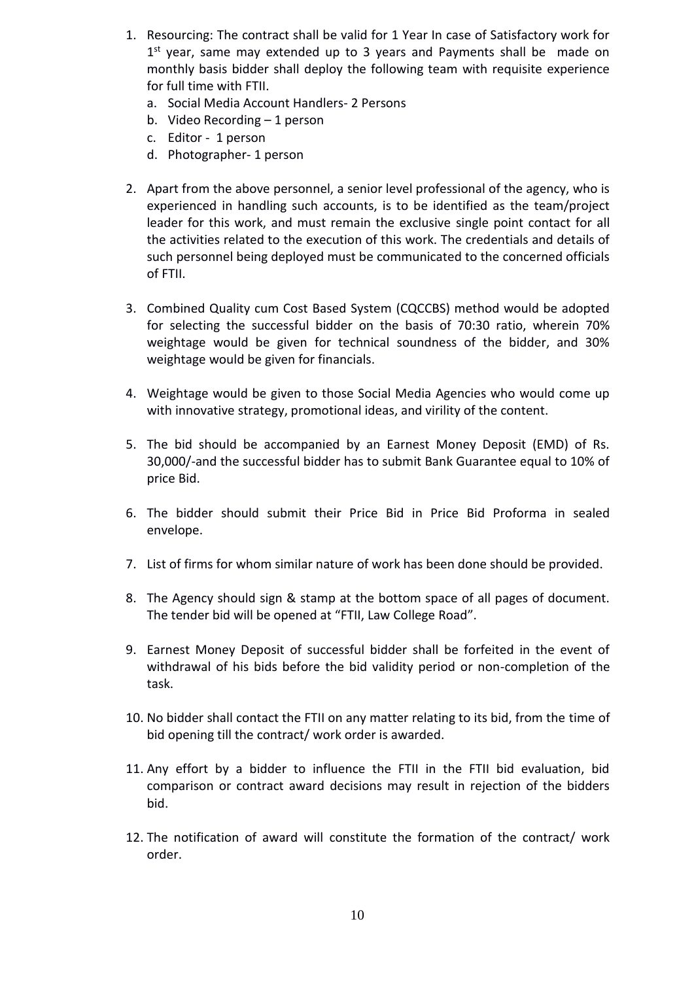- 1. Resourcing: The contract shall be valid for 1 Year In case of Satisfactory work for 1<sup>st</sup> year, same may extended up to 3 years and Payments shall be made on monthly basis bidder shall deploy the following team with requisite experience for full time with FTII.
	- a. Social Media Account Handlers- 2 Persons
	- b. Video Recording 1 person
	- c. Editor 1 person
	- d. Photographer- 1 person
- 2. Apart from the above personnel, a senior level professional of the agency, who is experienced in handling such accounts, is to be identified as the team/project leader for this work, and must remain the exclusive single point contact for all the activities related to the execution of this work. The credentials and details of such personnel being deployed must be communicated to the concerned officials of FTII.
- 3. Combined Quality cum Cost Based System (CQCCBS) method would be adopted for selecting the successful bidder on the basis of 70:30 ratio, wherein 70% weightage would be given for technical soundness of the bidder, and 30% weightage would be given for financials.
- 4. Weightage would be given to those Social Media Agencies who would come up with innovative strategy, promotional ideas, and virility of the content.
- 5. The bid should be accompanied by an Earnest Money Deposit (EMD) of Rs. 30,000/-and the successful bidder has to submit Bank Guarantee equal to 10% of price Bid.
- 6. The bidder should submit their Price Bid in Price Bid Proforma in sealed envelope.
- 7. List of firms for whom similar nature of work has been done should be provided.
- 8. The Agency should sign & stamp at the bottom space of all pages of document. The tender bid will be opened at "FTII, Law College Road".
- 9. Earnest Money Deposit of successful bidder shall be forfeited in the event of withdrawal of his bids before the bid validity period or non-completion of the task.
- 10. No bidder shall contact the FTII on any matter relating to its bid, from the time of bid opening till the contract/ work order is awarded.
- 11. Any effort by a bidder to influence the FTII in the FTII bid evaluation, bid comparison or contract award decisions may result in rejection of the bidders bid.
- 12. The notification of award will constitute the formation of the contract/ work order.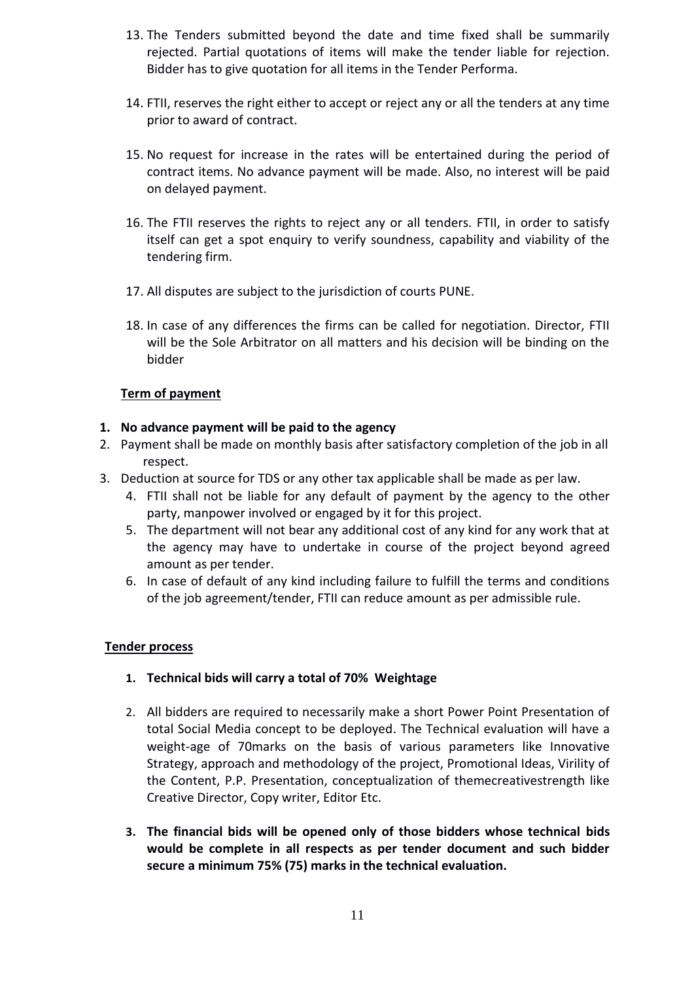- 13. The Tenders submitted beyond the date and time fixed shall be summarily rejected. Partial quotations of items will make the tender liable for rejection. Bidder has to give quotation for all items in the Tender Performa.
- 14. FTII, reserves the right either to accept or reject any or all the tenders at any time prior to award of contract.
- 15. No request for increase in the rates will be entertained during the period of contract items. No advance payment will be made. Also, no interest will be paid on delayed payment.
- 16. The FTII reserves the rights to reject any or all tenders. FTII, in order to satisfy itself can get a spot enquiry to verify soundness, capability and viability of the tendering firm.
- 17. All disputes are subject to the jurisdiction of courts PUNE.
- 18. In case of any differences the firms can be called for negotiation. Director, FTII will be the Sole Arbitrator on all matters and his decision will be binding on the bidder

## **Term of payment**

### **1. No advance payment will be paid to the agency**

- 2. Payment shall be made on monthly basis after satisfactory completion of the job in all respect.
- 3. Deduction at source for TDS or any other tax applicable shall be made as per law.
	- 4. FTII shall not be liable for any default of payment by the agency to the other party, manpower involved or engaged by it for this project.
	- 5. The department will not bear any additional cost of any kind for any work that at the agency may have to undertake in course of the project beyond agreed amount as per tender.
	- 6. In case of default of any kind including failure to fulfill the terms and conditions of the job agreement/tender, FTII can reduce amount as per admissible rule.

### **Tender process**

- **1. Technical bids will carry a total of 70% Weightage**
- 2. All bidders are required to necessarily make a short Power Point Presentation of total Social Media concept to be deployed. The Technical evaluation will have a weight-age of 70marks on the basis of various parameters like Innovative Strategy, approach and methodology of the project, Promotional Ideas, Virility of the Content, P.P. Presentation, conceptualization of themecreativestrength like Creative Director, Copy writer, Editor Etc.
- **3. The financial bids will be opened only of those bidders whose technical bids would be complete in all respects as per tender document and such bidder secure a minimum 75% (75) marks in the technical evaluation.**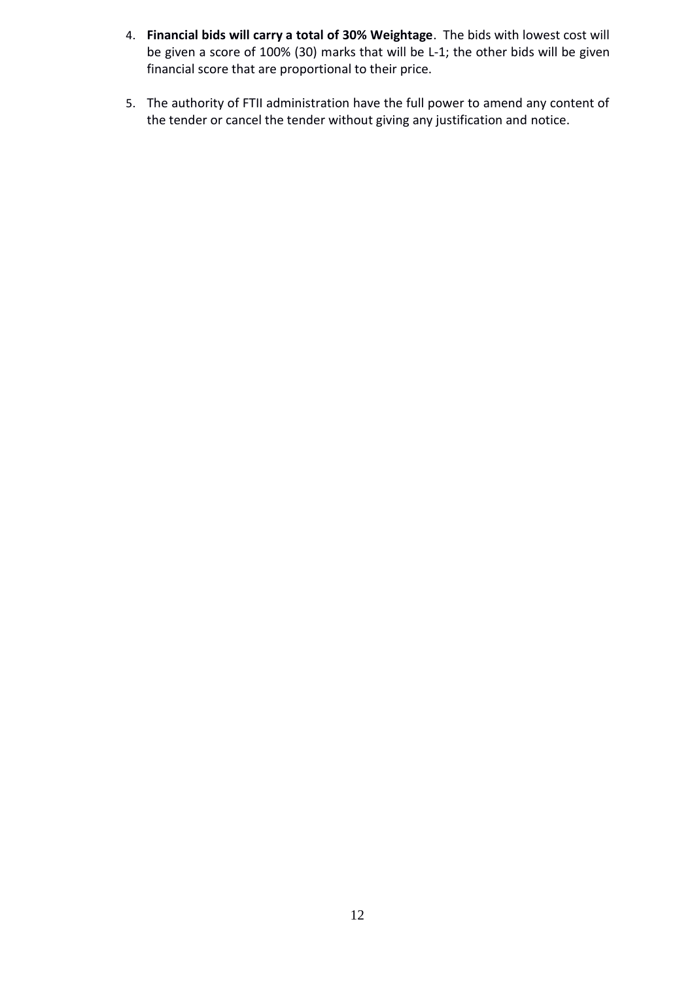- 4. **Financial bids will carry a total of 30% Weightage**. The bids with lowest cost will be given a score of 100% (30) marks that will be L-1; the other bids will be given financial score that are proportional to their price.
- 5. The authority of FTII administration have the full power to amend any content of the tender or cancel the tender without giving any justification and notice.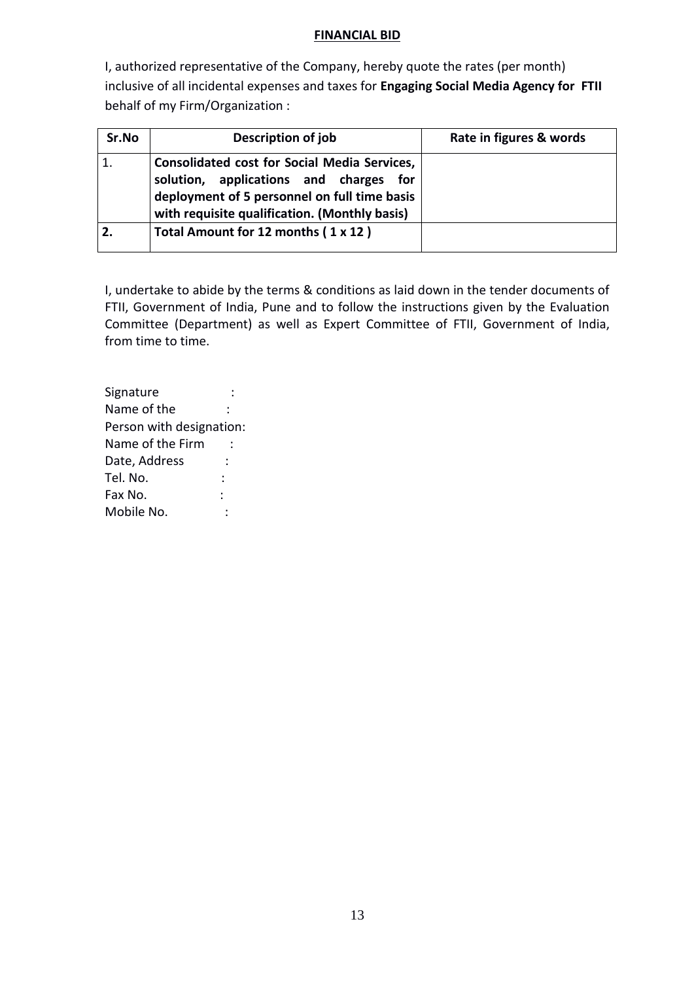### **FINANCIAL BID**

I, authorized representative of the Company, hereby quote the rates (per month) inclusive of all incidental expenses and taxes for **Engaging Social Media Agency for FTII**  behalf of my Firm/Organization :

| Sr.No | Description of job                                                                                                                                                                                | Rate in figures & words |
|-------|---------------------------------------------------------------------------------------------------------------------------------------------------------------------------------------------------|-------------------------|
|       | <b>Consolidated cost for Social Media Services,</b><br>solution, applications and charges<br>for<br>deployment of 5 personnel on full time basis<br>with requisite qualification. (Monthly basis) |                         |
|       | Total Amount for 12 months (1 x 12)                                                                                                                                                               |                         |

I, undertake to abide by the terms & conditions as laid down in the tender documents of FTII, Government of India, Pune and to follow the instructions given by the Evaluation Committee (Department) as well as Expert Committee of FTII, Government of India, from time to time.

| Signature                |  |  |
|--------------------------|--|--|
| Name of the              |  |  |
| Person with designation: |  |  |
| Name of the Firm         |  |  |
| Date, Address            |  |  |
| Tel. No.                 |  |  |
| Fax No.                  |  |  |
| Mobile No.               |  |  |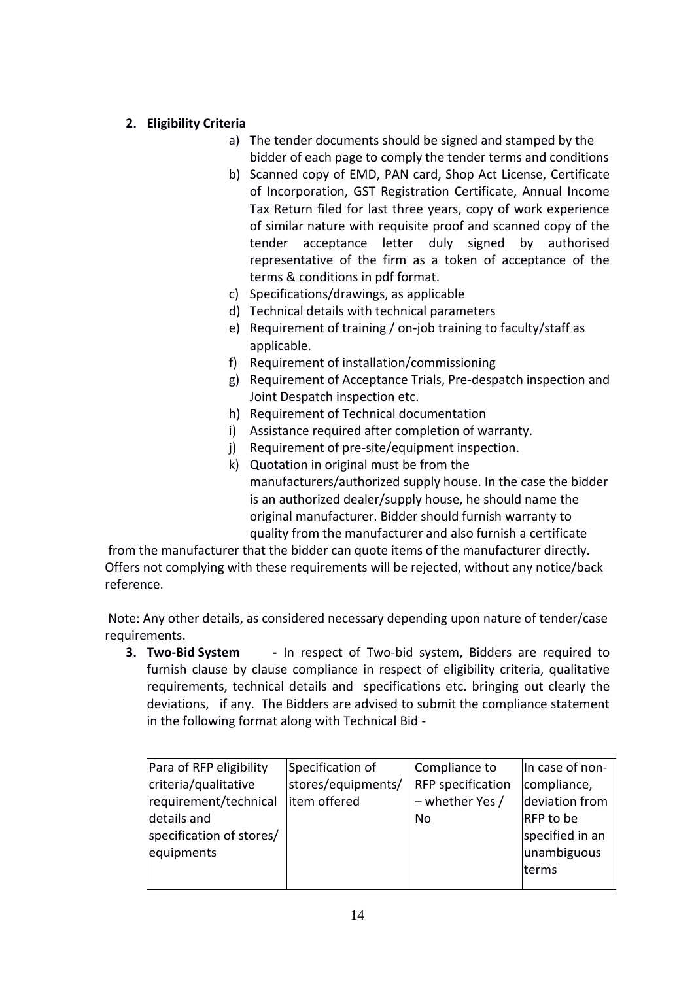# **2. Eligibility Criteria**

- a) The tender documents should be signed and stamped by the bidder of each page to comply the tender terms and conditions
- b) Scanned copy of EMD, PAN card, Shop Act License, Certificate of Incorporation, GST Registration Certificate, Annual Income Tax Return filed for last three years, copy of work experience of similar nature with requisite proof and scanned copy of the tender acceptance letter duly signed by authorised representative of the firm as a token of acceptance of the terms & conditions in pdf format.
- c) Specifications/drawings, as applicable
- d) Technical details with technical parameters
- e) Requirement of training / on-job training to faculty/staff as applicable.
- f) Requirement of installation/commissioning
- g) Requirement of Acceptance Trials, Pre-despatch inspection and Joint Despatch inspection etc.
- h) Requirement of Technical documentation
- i) Assistance required after completion of warranty.
- j) Requirement of pre-site/equipment inspection.
- k) Quotation in original must be from the manufacturers/authorized supply house. In the case the bidder is an authorized dealer/supply house, he should name the original manufacturer. Bidder should furnish warranty to quality from the manufacturer and also furnish a certificate

from the manufacturer that the bidder can quote items of the manufacturer directly. Offers not complying with these requirements will be rejected, without any notice/back reference.

Note: Any other details, as considered necessary depending upon nature of tender/case requirements.

**3. Two-Bid System -** In respect of Two-bid system, Bidders are required to furnish clause by clause compliance in respect of eligibility criteria, qualitative requirements, technical details and specifications etc. bringing out clearly the deviations, if any. The Bidders are advised to submit the compliance statement in the following format along with Technical Bid -

| Para of RFP eligibility  | Specification of   | Compliance to            | In case of non-  |
|--------------------------|--------------------|--------------------------|------------------|
| criteria/qualitative     | stores/equipments/ | <b>RFP</b> specification | compliance,      |
| requirement/technical    | litem offered      | - whether Yes /          | deviation from   |
| details and              |                    | No.                      | <b>RFP</b> to be |
| specification of stores/ |                    |                          | specified in an  |
| equipments               |                    |                          | unambiguous      |
|                          |                    |                          | Iterms           |
|                          |                    |                          |                  |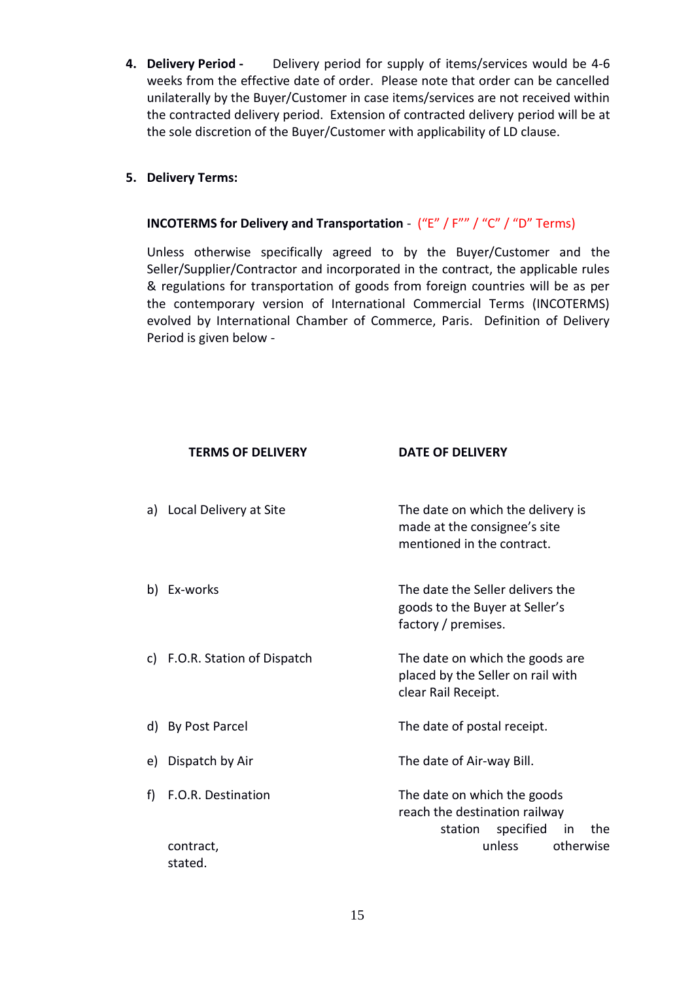**4. Delivery Period -** Delivery period for supply of items/services would be 4-6 weeks from the effective date of order. Please note that order can be cancelled unilaterally by the Buyer/Customer in case items/services are not received within the contracted delivery period. Extension of contracted delivery period will be at the sole discretion of the Buyer/Customer with applicability of LD clause.

## **5. Delivery Terms:**

## **INCOTERMS for Delivery and Transportation** - ("E" / F"" / "C" / "D" Terms)

Unless otherwise specifically agreed to by the Buyer/Customer and the Seller/Supplier/Contractor and incorporated in the contract, the applicable rules & regulations for transportation of goods from foreign countries will be as per the contemporary version of International Commercial Terms (INCOTERMS) evolved by International Chamber of Commerce, Paris. Definition of Delivery Period is given below -

|    | <b>TERMS OF DELIVERY</b>      | <b>DATE OF DELIVERY</b>                                                                           |
|----|-------------------------------|---------------------------------------------------------------------------------------------------|
|    | a) Local Delivery at Site     | The date on which the delivery is<br>made at the consignee's site<br>mentioned in the contract.   |
|    | b) Ex-works                   | The date the Seller delivers the<br>goods to the Buyer at Seller's<br>factory / premises.         |
|    | c) F.O.R. Station of Dispatch | The date on which the goods are<br>placed by the Seller on rail with<br>clear Rail Receipt.       |
|    | d) By Post Parcel             | The date of postal receipt.                                                                       |
| e) | Dispatch by Air               | The date of Air-way Bill.                                                                         |
| f) | F.O.R. Destination            | The date on which the goods<br>reach the destination railway<br>specified<br>station<br>in<br>the |
|    | contract,<br>stated.          | unless<br>otherwise                                                                               |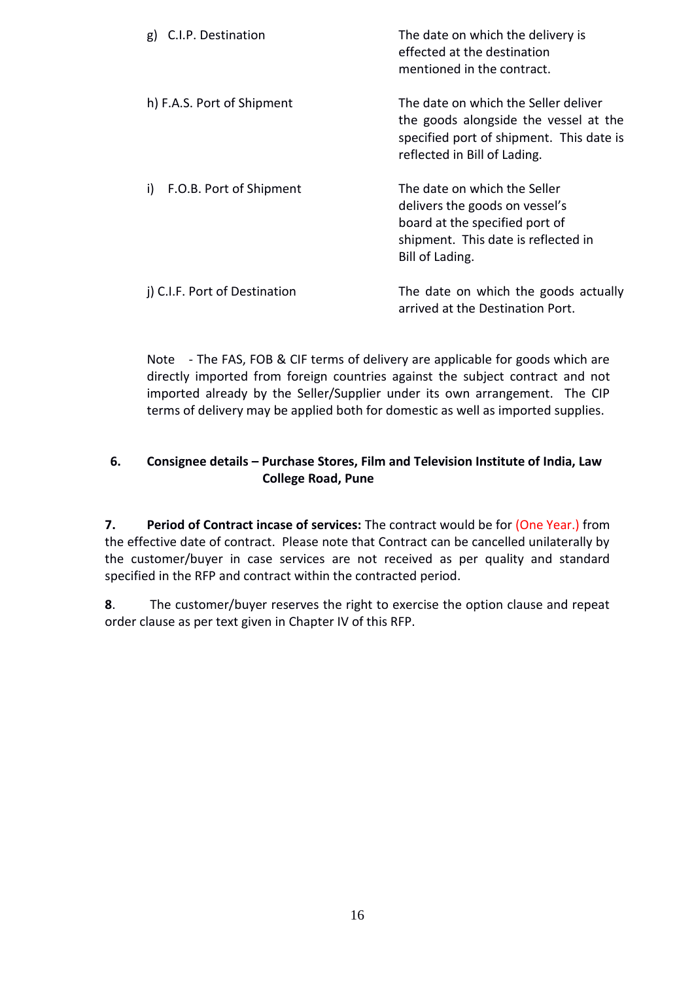| g) C.I.P. Destination         | The date on which the delivery is<br>effected at the destination<br>mentioned in the contract.                                                             |
|-------------------------------|------------------------------------------------------------------------------------------------------------------------------------------------------------|
| h) F.A.S. Port of Shipment    | The date on which the Seller deliver<br>the goods alongside the vessel at the<br>specified port of shipment. This date is<br>reflected in Bill of Lading.  |
| F.O.B. Port of Shipment<br>i) | The date on which the Seller<br>delivers the goods on vessel's<br>board at the specified port of<br>shipment. This date is reflected in<br>Bill of Lading. |
| j) C.I.F. Port of Destination | The date on which the goods actually<br>arrived at the Destination Port.                                                                                   |

Note - The FAS, FOB & CIF terms of delivery are applicable for goods which are directly imported from foreign countries against the subject contract and not imported already by the Seller/Supplier under its own arrangement. The CIP terms of delivery may be applied both for domestic as well as imported supplies.

# **6. Consignee details – Purchase Stores, Film and Television Institute of India, Law College Road, Pune**

**7. Period of Contract incase of services:** The contract would be for (One Year.) from the effective date of contract. Please note that Contract can be cancelled unilaterally by the customer/buyer in case services are not received as per quality and standard specified in the RFP and contract within the contracted period.

**8**. The customer/buyer reserves the right to exercise the option clause and repeat order clause as per text given in Chapter IV of this RFP.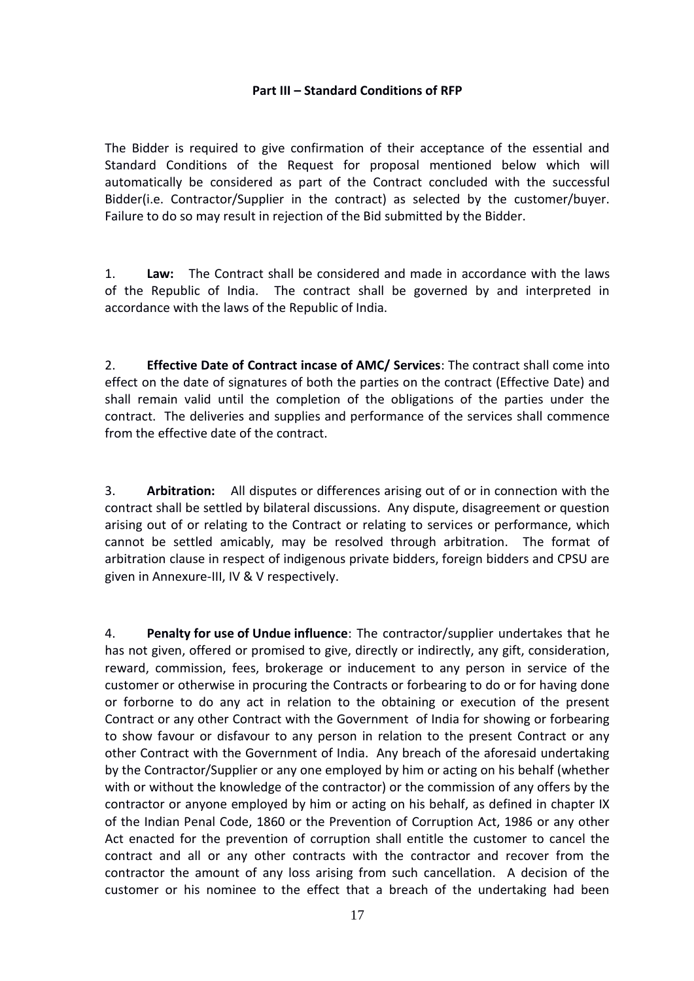## **Part III – Standard Conditions of RFP**

The Bidder is required to give confirmation of their acceptance of the essential and Standard Conditions of the Request for proposal mentioned below which will automatically be considered as part of the Contract concluded with the successful Bidder(i.e. Contractor/Supplier in the contract) as selected by the customer/buyer. Failure to do so may result in rejection of the Bid submitted by the Bidder.

1. **Law:** The Contract shall be considered and made in accordance with the laws of the Republic of India. The contract shall be governed by and interpreted in accordance with the laws of the Republic of India.

2. **Effective Date of Contract incase of AMC/ Services**: The contract shall come into effect on the date of signatures of both the parties on the contract (Effective Date) and shall remain valid until the completion of the obligations of the parties under the contract. The deliveries and supplies and performance of the services shall commence from the effective date of the contract.

3. **Arbitration:** All disputes or differences arising out of or in connection with the contract shall be settled by bilateral discussions. Any dispute, disagreement or question arising out of or relating to the Contract or relating to services or performance, which cannot be settled amicably, may be resolved through arbitration. The format of arbitration clause in respect of indigenous private bidders, foreign bidders and CPSU are given in Annexure-III, IV & V respectively.

4. **Penalty for use of Undue influence**: The contractor/supplier undertakes that he has not given, offered or promised to give, directly or indirectly, any gift, consideration, reward, commission, fees, brokerage or inducement to any person in service of the customer or otherwise in procuring the Contracts or forbearing to do or for having done or forborne to do any act in relation to the obtaining or execution of the present Contract or any other Contract with the Government of India for showing or forbearing to show favour or disfavour to any person in relation to the present Contract or any other Contract with the Government of India. Any breach of the aforesaid undertaking by the Contractor/Supplier or any one employed by him or acting on his behalf (whether with or without the knowledge of the contractor) or the commission of any offers by the contractor or anyone employed by him or acting on his behalf, as defined in chapter IX of the Indian Penal Code, 1860 or the Prevention of Corruption Act, 1986 or any other Act enacted for the prevention of corruption shall entitle the customer to cancel the contract and all or any other contracts with the contractor and recover from the contractor the amount of any loss arising from such cancellation. A decision of the customer or his nominee to the effect that a breach of the undertaking had been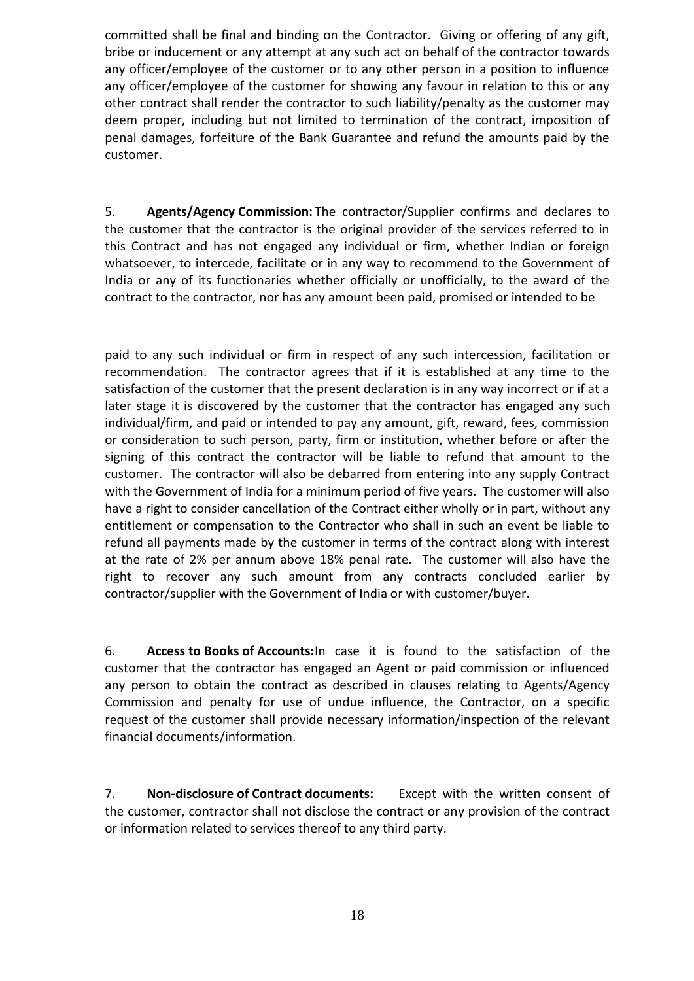committed shall be final and binding on the Contractor. Giving or offering of any gift, bribe or inducement or any attempt at any such act on behalf of the contractor towards any officer/employee of the customer or to any other person in a position to influence any officer/employee of the customer for showing any favour in relation to this or any other contract shall render the contractor to such liability/penalty as the customer may deem proper, including but not limited to termination of the contract, imposition of penal damages, forfeiture of the Bank Guarantee and refund the amounts paid by the customer.

5. **Agents/Agency Commission:** The contractor/Supplier confirms and declares to the customer that the contractor is the original provider of the services referred to in this Contract and has not engaged any individual or firm, whether Indian or foreign whatsoever, to intercede, facilitate or in any way to recommend to the Government of India or any of its functionaries whether officially or unofficially, to the award of the contract to the contractor, nor has any amount been paid, promised or intended to be

paid to any such individual or firm in respect of any such intercession, facilitation or recommendation. The contractor agrees that if it is established at any time to the satisfaction of the customer that the present declaration is in any way incorrect or if at a later stage it is discovered by the customer that the contractor has engaged any such individual/firm, and paid or intended to pay any amount, gift, reward, fees, commission or consideration to such person, party, firm or institution, whether before or after the signing of this contract the contractor will be liable to refund that amount to the customer. The contractor will also be debarred from entering into any supply Contract with the Government of India for a minimum period of five years. The customer will also have a right to consider cancellation of the Contract either wholly or in part, without any entitlement or compensation to the Contractor who shall in such an event be liable to refund all payments made by the customer in terms of the contract along with interest at the rate of 2% per annum above 18% penal rate. The customer will also have the right to recover any such amount from any contracts concluded earlier by contractor/supplier with the Government of India or with customer/buyer.

6. **Access to Books of Accounts:**In case it is found to the satisfaction of the customer that the contractor has engaged an Agent or paid commission or influenced any person to obtain the contract as described in clauses relating to Agents/Agency Commission and penalty for use of undue influence, the Contractor, on a specific request of the customer shall provide necessary information/inspection of the relevant financial documents/information.

7. **Non-disclosure of Contract documents:** Except with the written consent of the customer, contractor shall not disclose the contract or any provision of the contract or information related to services thereof to any third party.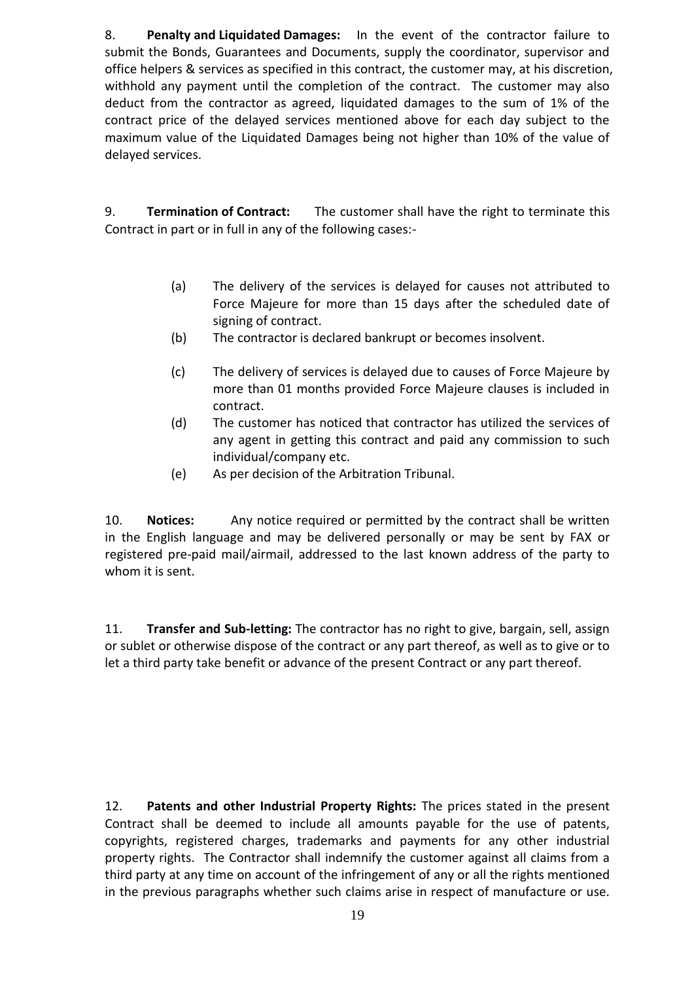8. **Penalty and Liquidated Damages:** In the event of the contractor failure to submit the Bonds, Guarantees and Documents, supply the coordinator, supervisor and office helpers & services as specified in this contract, the customer may, at his discretion, withhold any payment until the completion of the contract. The customer may also deduct from the contractor as agreed, liquidated damages to the sum of 1% of the contract price of the delayed services mentioned above for each day subject to the maximum value of the Liquidated Damages being not higher than 10% of the value of delayed services.

9. **Termination of Contract:** The customer shall have the right to terminate this Contract in part or in full in any of the following cases:-

- (a) The delivery of the services is delayed for causes not attributed to Force Majeure for more than 15 days after the scheduled date of signing of contract.
- (b) The contractor is declared bankrupt or becomes insolvent.
- (c) The delivery of services is delayed due to causes of Force Majeure by more than 01 months provided Force Majeure clauses is included in contract.
- (d) The customer has noticed that contractor has utilized the services of any agent in getting this contract and paid any commission to such individual/company etc.
- (e) As per decision of the Arbitration Tribunal.

10. **Notices:** Any notice required or permitted by the contract shall be written in the English language and may be delivered personally or may be sent by FAX or registered pre-paid mail/airmail, addressed to the last known address of the party to whom it is sent.

11. **Transfer and Sub-letting:** The contractor has no right to give, bargain, sell, assign or sublet or otherwise dispose of the contract or any part thereof, as well as to give or to let a third party take benefit or advance of the present Contract or any part thereof.

12. **Patents and other Industrial Property Rights:** The prices stated in the present Contract shall be deemed to include all amounts payable for the use of patents, copyrights, registered charges, trademarks and payments for any other industrial property rights. The Contractor shall indemnify the customer against all claims from a third party at any time on account of the infringement of any or all the rights mentioned in the previous paragraphs whether such claims arise in respect of manufacture or use.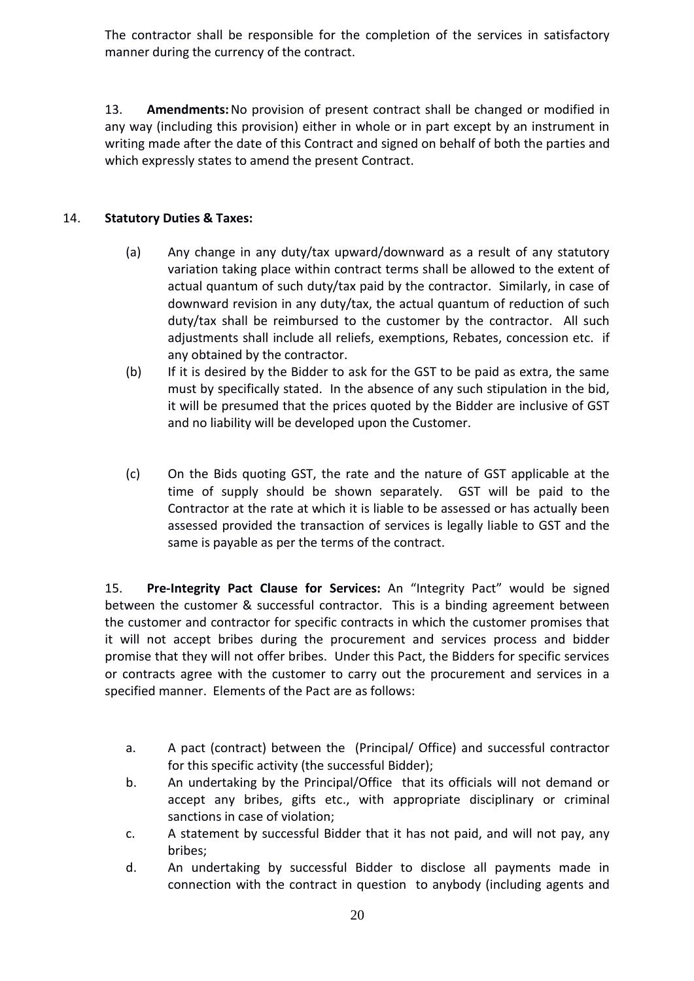The contractor shall be responsible for the completion of the services in satisfactory manner during the currency of the contract.

13. **Amendments:**No provision of present contract shall be changed or modified in any way (including this provision) either in whole or in part except by an instrument in writing made after the date of this Contract and signed on behalf of both the parties and which expressly states to amend the present Contract.

# 14. **Statutory Duties & Taxes:**

- (a) Any change in any duty/tax upward/downward as a result of any statutory variation taking place within contract terms shall be allowed to the extent of actual quantum of such duty/tax paid by the contractor. Similarly, in case of downward revision in any duty/tax, the actual quantum of reduction of such duty/tax shall be reimbursed to the customer by the contractor. All such adjustments shall include all reliefs, exemptions, Rebates, concession etc. if any obtained by the contractor.
- (b) If it is desired by the Bidder to ask for the GST to be paid as extra, the same must by specifically stated. In the absence of any such stipulation in the bid, it will be presumed that the prices quoted by the Bidder are inclusive of GST and no liability will be developed upon the Customer.
- (c) On the Bids quoting GST, the rate and the nature of GST applicable at the time of supply should be shown separately. GST will be paid to the Contractor at the rate at which it is liable to be assessed or has actually been assessed provided the transaction of services is legally liable to GST and the same is payable as per the terms of the contract.

15. **Pre-Integrity Pact Clause for Services:** An "Integrity Pact" would be signed between the customer & successful contractor. This is a binding agreement between the customer and contractor for specific contracts in which the customer promises that it will not accept bribes during the procurement and services process and bidder promise that they will not offer bribes. Under this Pact, the Bidders for specific services or contracts agree with the customer to carry out the procurement and services in a specified manner. Elements of the Pact are as follows:

- a. A pact (contract) between the (Principal/ Office) and successful contractor for this specific activity (the successful Bidder);
- b. An undertaking by the Principal/Office that its officials will not demand or accept any bribes, gifts etc., with appropriate disciplinary or criminal sanctions in case of violation;
- c. A statement by successful Bidder that it has not paid, and will not pay, any bribes;
- d. An undertaking by successful Bidder to disclose all payments made in connection with the contract in question to anybody (including agents and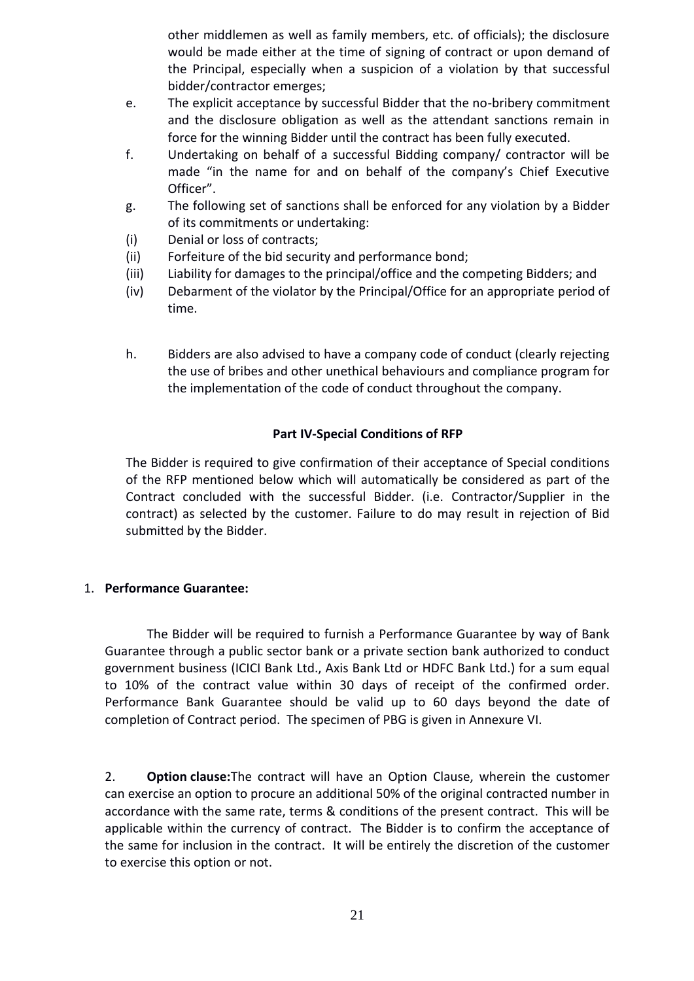other middlemen as well as family members, etc. of officials); the disclosure would be made either at the time of signing of contract or upon demand of the Principal, especially when a suspicion of a violation by that successful bidder/contractor emerges;

- e. The explicit acceptance by successful Bidder that the no-bribery commitment and the disclosure obligation as well as the attendant sanctions remain in force for the winning Bidder until the contract has been fully executed.
- f. Undertaking on behalf of a successful Bidding company/ contractor will be made "in the name for and on behalf of the company's Chief Executive Officer".
- g. The following set of sanctions shall be enforced for any violation by a Bidder of its commitments or undertaking:
- (i) Denial or loss of contracts;
- (ii) Forfeiture of the bid security and performance bond;
- (iii) Liability for damages to the principal/office and the competing Bidders; and
- (iv) Debarment of the violator by the Principal/Office for an appropriate period of time.
- h. Bidders are also advised to have a company code of conduct (clearly rejecting the use of bribes and other unethical behaviours and compliance program for the implementation of the code of conduct throughout the company.

# **Part IV-Special Conditions of RFP**

The Bidder is required to give confirmation of their acceptance of Special conditions of the RFP mentioned below which will automatically be considered as part of the Contract concluded with the successful Bidder. (i.e. Contractor/Supplier in the contract) as selected by the customer. Failure to do may result in rejection of Bid submitted by the Bidder.

# 1. **Performance Guarantee:**

The Bidder will be required to furnish a Performance Guarantee by way of Bank Guarantee through a public sector bank or a private section bank authorized to conduct government business (ICICI Bank Ltd., Axis Bank Ltd or HDFC Bank Ltd.) for a sum equal to 10% of the contract value within 30 days of receipt of the confirmed order. Performance Bank Guarantee should be valid up to 60 days beyond the date of completion of Contract period. The specimen of PBG is given in Annexure VI.

2. **Option clause:**The contract will have an Option Clause, wherein the customer can exercise an option to procure an additional 50% of the original contracted number in accordance with the same rate, terms & conditions of the present contract. This will be applicable within the currency of contract. The Bidder is to confirm the acceptance of the same for inclusion in the contract. It will be entirely the discretion of the customer to exercise this option or not.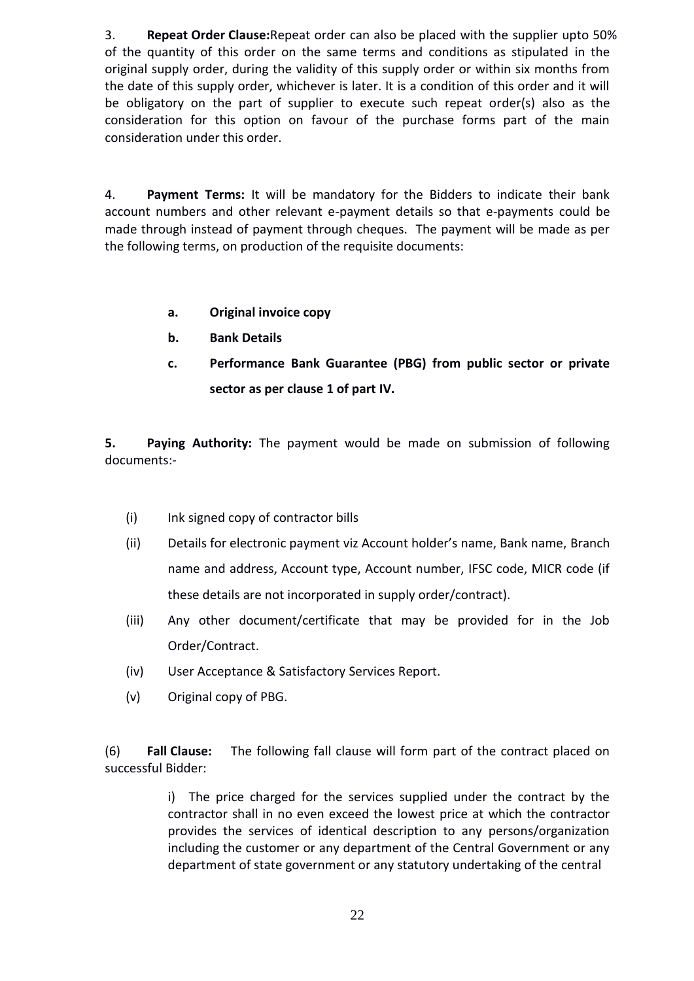3. **Repeat Order Clause:**Repeat order can also be placed with the supplier upto 50% of the quantity of this order on the same terms and conditions as stipulated in the original supply order, during the validity of this supply order or within six months from the date of this supply order, whichever is later. It is a condition of this order and it will be obligatory on the part of supplier to execute such repeat order(s) also as the consideration for this option on favour of the purchase forms part of the main consideration under this order.

4. **Payment Terms:** It will be mandatory for the Bidders to indicate their bank account numbers and other relevant e-payment details so that e-payments could be made through instead of payment through cheques. The payment will be made as per the following terms, on production of the requisite documents:

- **a. Original invoice copy**
- **b. Bank Details**
- **c. Performance Bank Guarantee (PBG) from public sector or private sector as per clause 1 of part IV.**

**5. Paying Authority:** The payment would be made on submission of following documents:-

- (i) Ink signed copy of contractor bills
- (ii) Details for electronic payment viz Account holder's name, Bank name, Branch name and address, Account type, Account number, IFSC code, MICR code (if these details are not incorporated in supply order/contract).
- (iii) Any other document/certificate that may be provided for in the Job Order/Contract.
- (iv) User Acceptance & Satisfactory Services Report.
- (v) Original copy of PBG.

(6) **Fall Clause:** The following fall clause will form part of the contract placed on successful Bidder:

> i) The price charged for the services supplied under the contract by the contractor shall in no even exceed the lowest price at which the contractor provides the services of identical description to any persons/organization including the customer or any department of the Central Government or any department of state government or any statutory undertaking of the central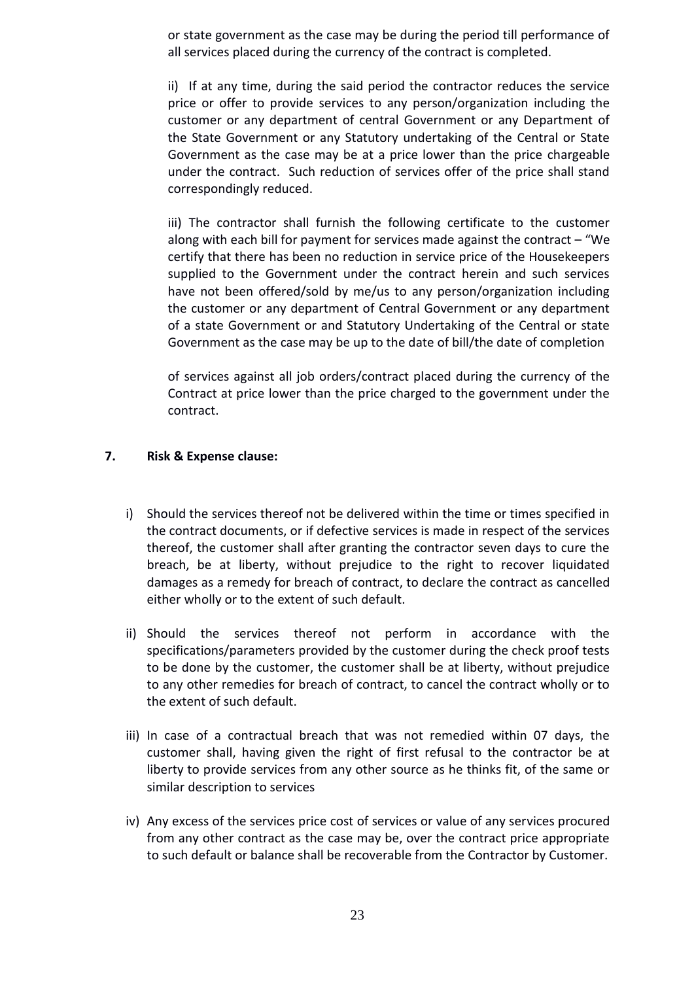or state government as the case may be during the period till performance of all services placed during the currency of the contract is completed.

ii) If at any time, during the said period the contractor reduces the service price or offer to provide services to any person/organization including the customer or any department of central Government or any Department of the State Government or any Statutory undertaking of the Central or State Government as the case may be at a price lower than the price chargeable under the contract. Such reduction of services offer of the price shall stand correspondingly reduced.

iii) The contractor shall furnish the following certificate to the customer along with each bill for payment for services made against the contract – "We certify that there has been no reduction in service price of the Housekeepers supplied to the Government under the contract herein and such services have not been offered/sold by me/us to any person/organization including the customer or any department of Central Government or any department of a state Government or and Statutory Undertaking of the Central or state Government as the case may be up to the date of bill/the date of completion

of services against all job orders/contract placed during the currency of the Contract at price lower than the price charged to the government under the contract.

## **7. Risk & Expense clause:**

- i) Should the services thereof not be delivered within the time or times specified in the contract documents, or if defective services is made in respect of the services thereof, the customer shall after granting the contractor seven days to cure the breach, be at liberty, without prejudice to the right to recover liquidated damages as a remedy for breach of contract, to declare the contract as cancelled either wholly or to the extent of such default.
- ii) Should the services thereof not perform in accordance with the specifications/parameters provided by the customer during the check proof tests to be done by the customer, the customer shall be at liberty, without prejudice to any other remedies for breach of contract, to cancel the contract wholly or to the extent of such default.
- iii) In case of a contractual breach that was not remedied within 07 days, the customer shall, having given the right of first refusal to the contractor be at liberty to provide services from any other source as he thinks fit, of the same or similar description to services
- iv) Any excess of the services price cost of services or value of any services procured from any other contract as the case may be, over the contract price appropriate to such default or balance shall be recoverable from the Contractor by Customer.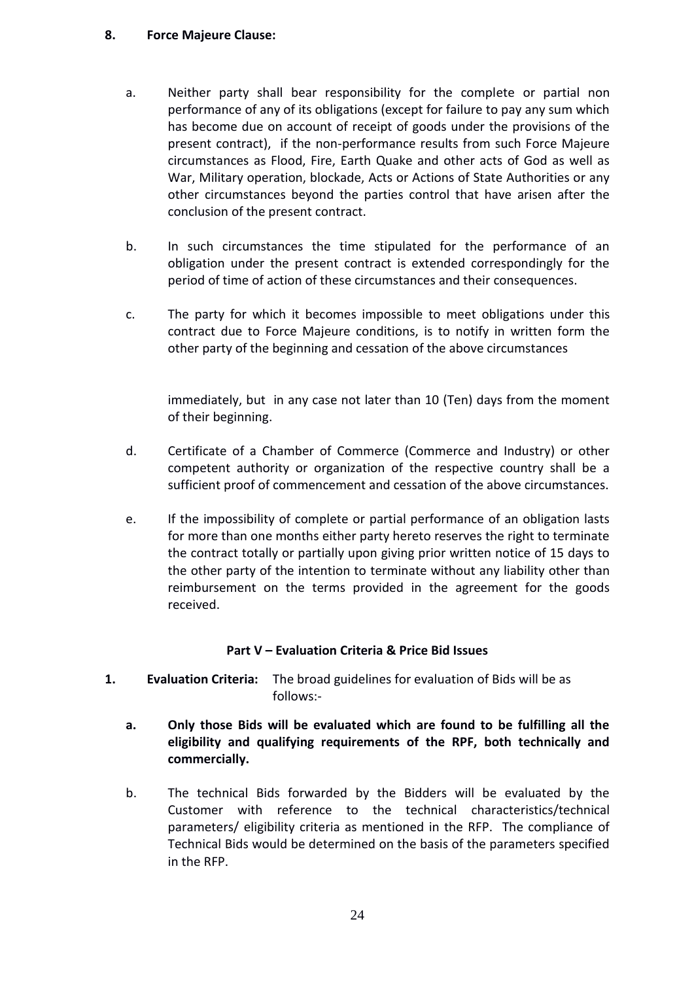### **8. Force Majeure Clause:**

- a. Neither party shall bear responsibility for the complete or partial non performance of any of its obligations (except for failure to pay any sum which has become due on account of receipt of goods under the provisions of the present contract), if the non-performance results from such Force Majeure circumstances as Flood, Fire, Earth Quake and other acts of God as well as War, Military operation, blockade, Acts or Actions of State Authorities or any other circumstances beyond the parties control that have arisen after the conclusion of the present contract.
- b. In such circumstances the time stipulated for the performance of an obligation under the present contract is extended correspondingly for the period of time of action of these circumstances and their consequences.
- c. The party for which it becomes impossible to meet obligations under this contract due to Force Majeure conditions, is to notify in written form the other party of the beginning and cessation of the above circumstances

immediately, but in any case not later than 10 (Ten) days from the moment of their beginning.

- d. Certificate of a Chamber of Commerce (Commerce and Industry) or other competent authority or organization of the respective country shall be a sufficient proof of commencement and cessation of the above circumstances.
- e. If the impossibility of complete or partial performance of an obligation lasts for more than one months either party hereto reserves the right to terminate the contract totally or partially upon giving prior written notice of 15 days to the other party of the intention to terminate without any liability other than reimbursement on the terms provided in the agreement for the goods received.

# **Part V – Evaluation Criteria & Price Bid Issues**

- **1. Evaluation Criteria:** The broad guidelines for evaluation of Bids will be as follows:
	- **a. Only those Bids will be evaluated which are found to be fulfilling all the eligibility and qualifying requirements of the RPF, both technically and commercially.**
	- b. The technical Bids forwarded by the Bidders will be evaluated by the Customer with reference to the technical characteristics/technical parameters/ eligibility criteria as mentioned in the RFP. The compliance of Technical Bids would be determined on the basis of the parameters specified in the RFP.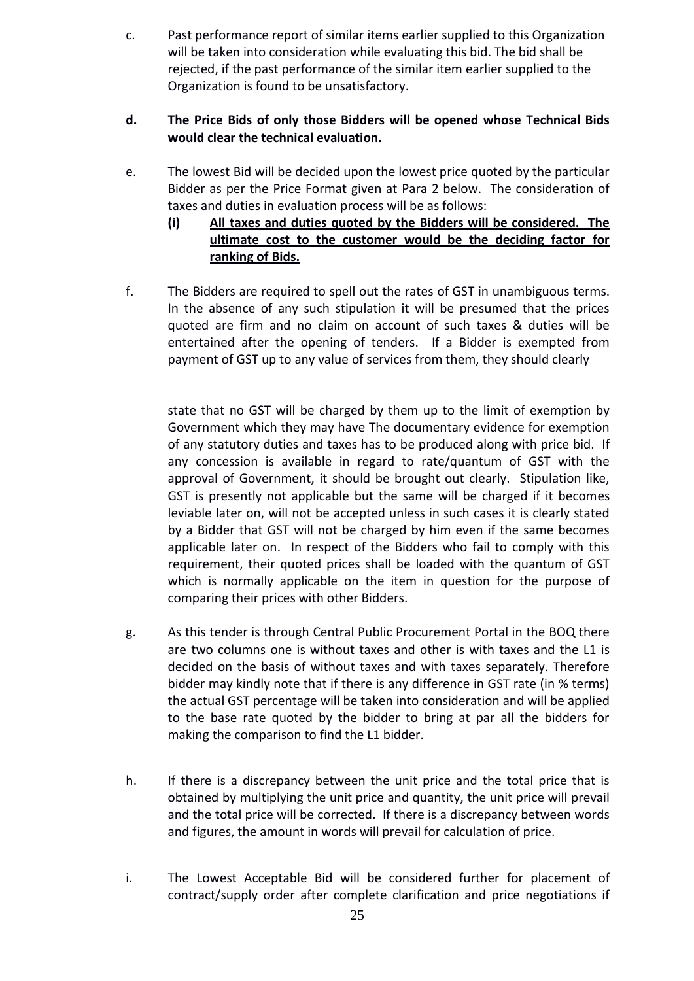c. Past performance report of similar items earlier supplied to this Organization will be taken into consideration while evaluating this bid. The bid shall be rejected, if the past performance of the similar item earlier supplied to the Organization is found to be unsatisfactory.

# **d. The Price Bids of only those Bidders will be opened whose Technical Bids would clear the technical evaluation.**

- e. The lowest Bid will be decided upon the lowest price quoted by the particular Bidder as per the Price Format given at Para 2 below. The consideration of taxes and duties in evaluation process will be as follows:
	- **(i) All taxes and duties quoted by the Bidders will be considered. The ultimate cost to the customer would be the deciding factor for ranking of Bids.**
- f. The Bidders are required to spell out the rates of GST in unambiguous terms. In the absence of any such stipulation it will be presumed that the prices quoted are firm and no claim on account of such taxes & duties will be entertained after the opening of tenders. If a Bidder is exempted from payment of GST up to any value of services from them, they should clearly

state that no GST will be charged by them up to the limit of exemption by Government which they may have The documentary evidence for exemption of any statutory duties and taxes has to be produced along with price bid. If any concession is available in regard to rate/quantum of GST with the approval of Government, it should be brought out clearly. Stipulation like, GST is presently not applicable but the same will be charged if it becomes leviable later on, will not be accepted unless in such cases it is clearly stated by a Bidder that GST will not be charged by him even if the same becomes applicable later on. In respect of the Bidders who fail to comply with this requirement, their quoted prices shall be loaded with the quantum of GST which is normally applicable on the item in question for the purpose of comparing their prices with other Bidders.

- g. As this tender is through Central Public Procurement Portal in the BOQ there are two columns one is without taxes and other is with taxes and the L1 is decided on the basis of without taxes and with taxes separately. Therefore bidder may kindly note that if there is any difference in GST rate (in % terms) the actual GST percentage will be taken into consideration and will be applied to the base rate quoted by the bidder to bring at par all the bidders for making the comparison to find the L1 bidder.
- h. If there is a discrepancy between the unit price and the total price that is obtained by multiplying the unit price and quantity, the unit price will prevail and the total price will be corrected. If there is a discrepancy between words and figures, the amount in words will prevail for calculation of price.
- i. The Lowest Acceptable Bid will be considered further for placement of contract/supply order after complete clarification and price negotiations if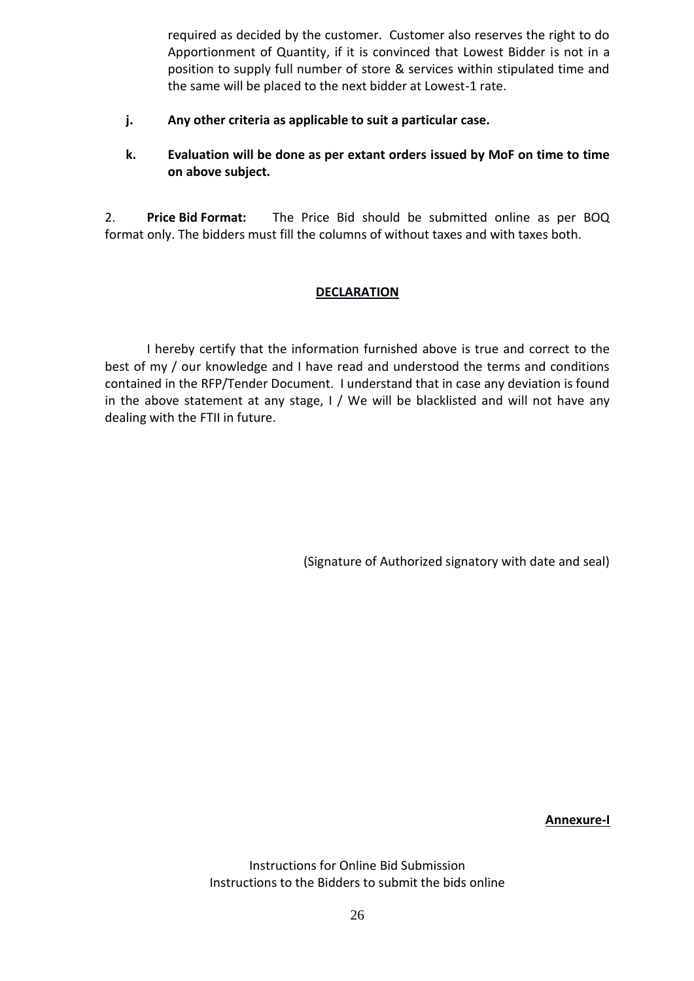required as decided by the customer. Customer also reserves the right to do Apportionment of Quantity, if it is convinced that Lowest Bidder is not in a position to supply full number of store & services within stipulated time and the same will be placed to the next bidder at Lowest-1 rate.

- **j. Any other criteria as applicable to suit a particular case.**
- **k. Evaluation will be done as per extant orders issued by MoF on time to time on above subject.**

2. **Price Bid Format:** The Price Bid should be submitted online as per BOQ format only. The bidders must fill the columns of without taxes and with taxes both.

## **DECLARATION**

I hereby certify that the information furnished above is true and correct to the best of my / our knowledge and I have read and understood the terms and conditions contained in the RFP/Tender Document. I understand that in case any deviation is found in the above statement at any stage, I / We will be blacklisted and will not have any dealing with the FTII in future.

(Signature of Authorized signatory with date and seal)

**Annexure-I**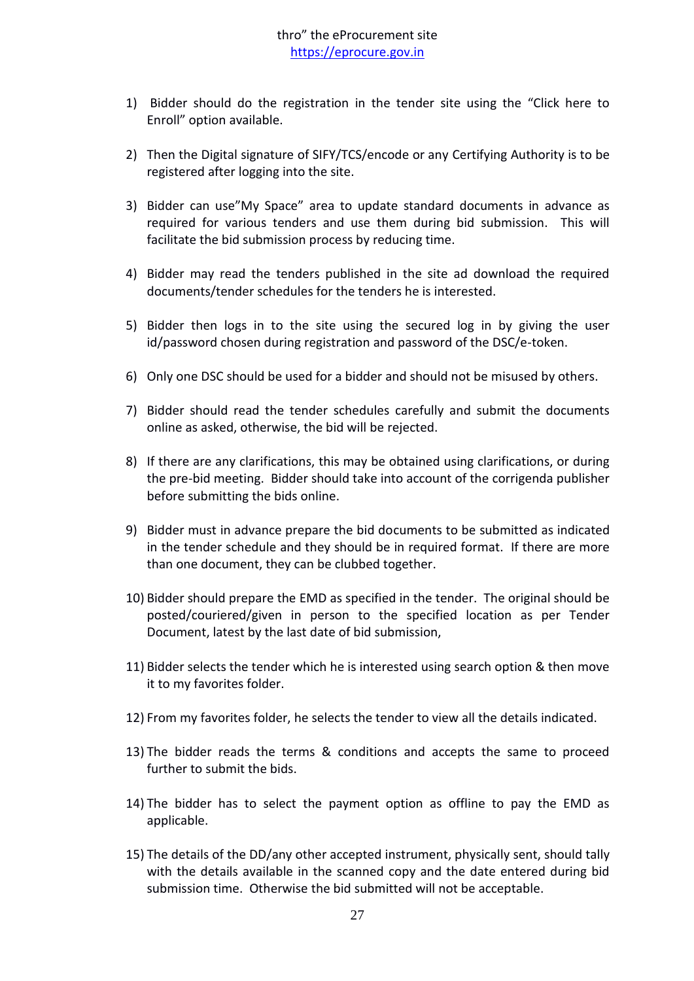- 1) Bidder should do the registration in the tender site using the "Click here to Enroll" option available.
- 2) Then the Digital signature of SIFY/TCS/encode or any Certifying Authority is to be registered after logging into the site.
- 3) Bidder can use"My Space" area to update standard documents in advance as required for various tenders and use them during bid submission. This will facilitate the bid submission process by reducing time.
- 4) Bidder may read the tenders published in the site ad download the required documents/tender schedules for the tenders he is interested.
- 5) Bidder then logs in to the site using the secured log in by giving the user id/password chosen during registration and password of the DSC/e-token.
- 6) Only one DSC should be used for a bidder and should not be misused by others.
- 7) Bidder should read the tender schedules carefully and submit the documents online as asked, otherwise, the bid will be rejected.
- 8) If there are any clarifications, this may be obtained using clarifications, or during the pre-bid meeting. Bidder should take into account of the corrigenda publisher before submitting the bids online.
- 9) Bidder must in advance prepare the bid documents to be submitted as indicated in the tender schedule and they should be in required format. If there are more than one document, they can be clubbed together.
- 10) Bidder should prepare the EMD as specified in the tender. The original should be posted/couriered/given in person to the specified location as per Tender Document, latest by the last date of bid submission,
- 11) Bidder selects the tender which he is interested using search option & then move it to my favorites folder.
- 12) From my favorites folder, he selects the tender to view all the details indicated.
- 13) The bidder reads the terms & conditions and accepts the same to proceed further to submit the bids.
- 14) The bidder has to select the payment option as offline to pay the EMD as applicable.
- 15) The details of the DD/any other accepted instrument, physically sent, should tally with the details available in the scanned copy and the date entered during bid submission time. Otherwise the bid submitted will not be acceptable.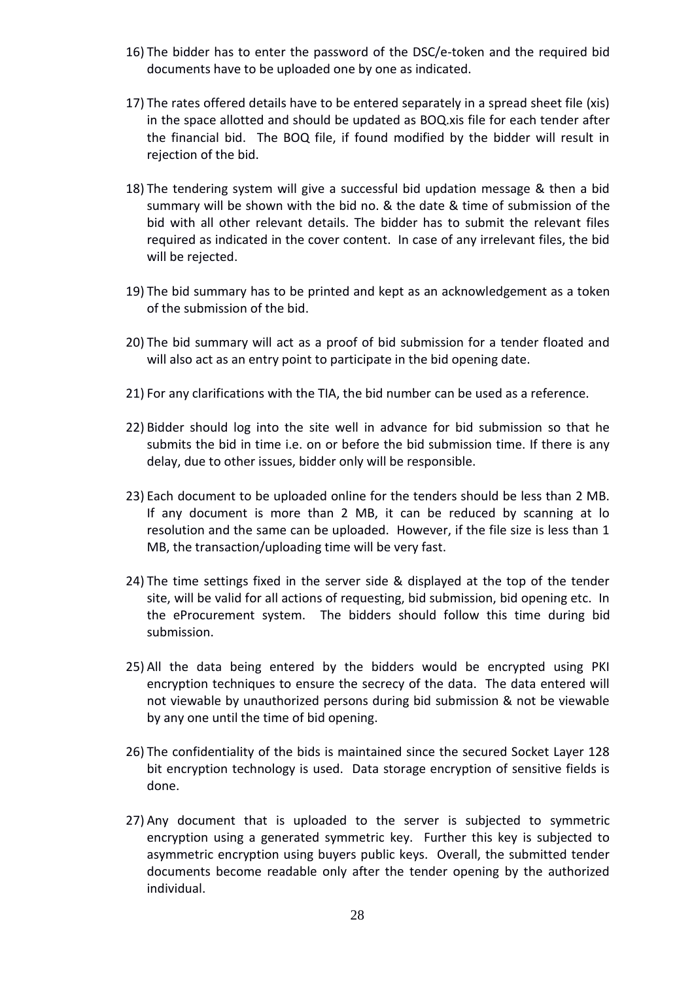- 16) The bidder has to enter the password of the DSC/e-token and the required bid documents have to be uploaded one by one as indicated.
- 17) The rates offered details have to be entered separately in a spread sheet file (xis) in the space allotted and should be updated as BOQ.xis file for each tender after the financial bid. The BOQ file, if found modified by the bidder will result in rejection of the bid.
- 18) The tendering system will give a successful bid updation message & then a bid summary will be shown with the bid no. & the date & time of submission of the bid with all other relevant details. The bidder has to submit the relevant files required as indicated in the cover content. In case of any irrelevant files, the bid will be rejected.
- 19) The bid summary has to be printed and kept as an acknowledgement as a token of the submission of the bid.
- 20) The bid summary will act as a proof of bid submission for a tender floated and will also act as an entry point to participate in the bid opening date.
- 21) For any clarifications with the TIA, the bid number can be used as a reference.
- 22) Bidder should log into the site well in advance for bid submission so that he submits the bid in time i.e. on or before the bid submission time. If there is any delay, due to other issues, bidder only will be responsible.
- 23) Each document to be uploaded online for the tenders should be less than 2 MB. If any document is more than 2 MB, it can be reduced by scanning at lo resolution and the same can be uploaded. However, if the file size is less than 1 MB, the transaction/uploading time will be very fast.
- 24) The time settings fixed in the server side & displayed at the top of the tender site, will be valid for all actions of requesting, bid submission, bid opening etc. In the eProcurement system. The bidders should follow this time during bid submission.
- 25) All the data being entered by the bidders would be encrypted using PKI encryption techniques to ensure the secrecy of the data. The data entered will not viewable by unauthorized persons during bid submission & not be viewable by any one until the time of bid opening.
- 26) The confidentiality of the bids is maintained since the secured Socket Layer 128 bit encryption technology is used. Data storage encryption of sensitive fields is done.
- 27) Any document that is uploaded to the server is subjected to symmetric encryption using a generated symmetric key. Further this key is subjected to asymmetric encryption using buyers public keys. Overall, the submitted tender documents become readable only after the tender opening by the authorized individual.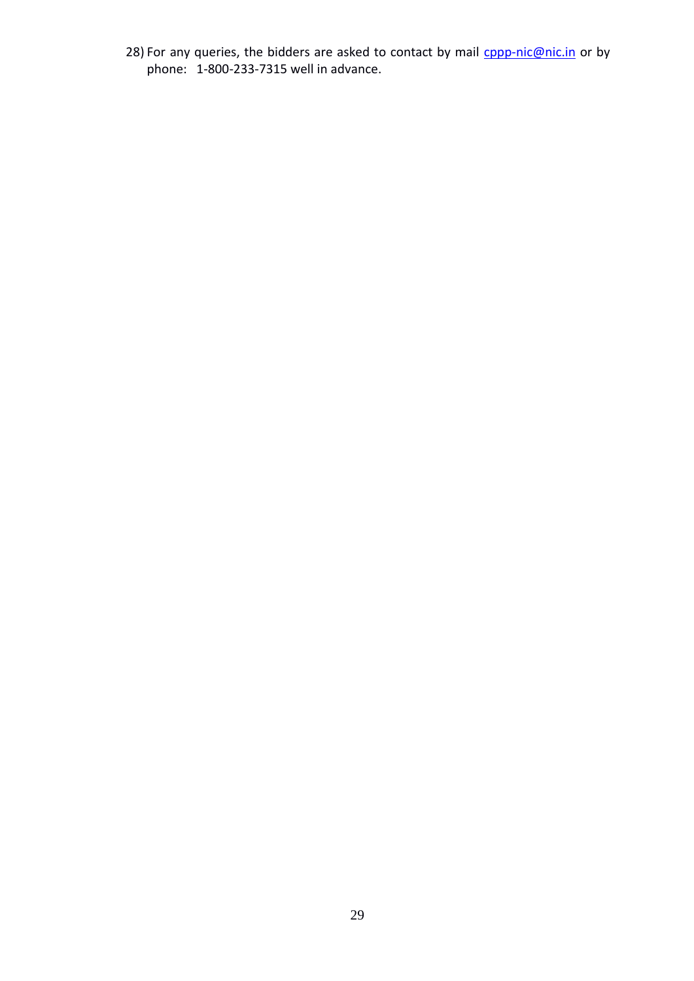28) For any queries, the bidders are asked to contact by mail **cppp-nic@nic.in** or by phone: 1-800-233-7315 well in advance.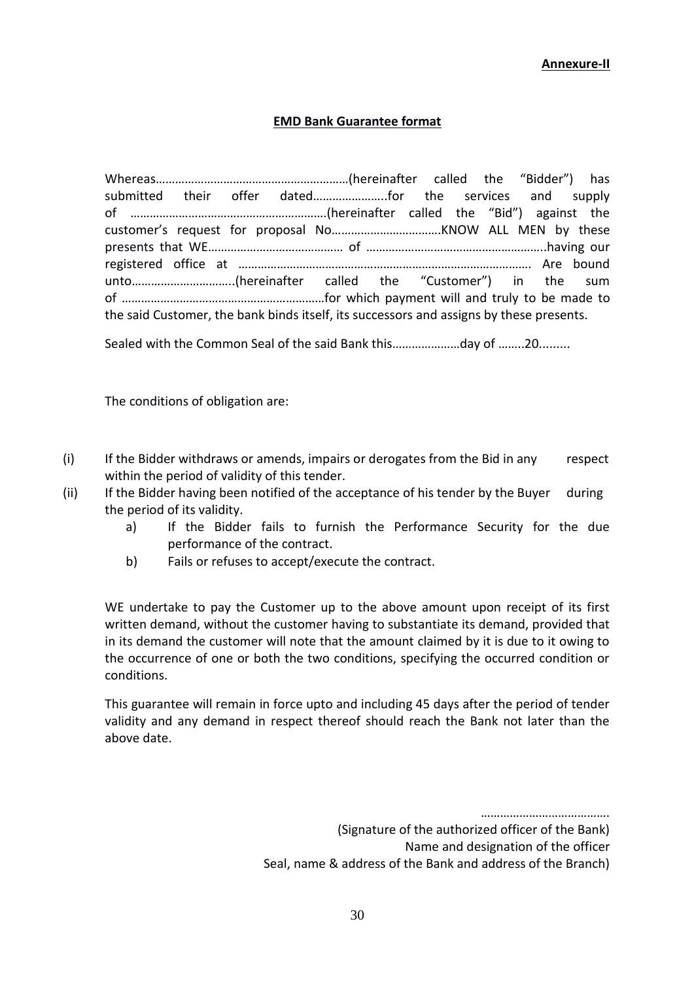#### **Annexure-II**

#### **EMD Bank Guarantee format**

Whereas……………………………………………………(hereinafter called the "Bidder") has submitted their offer dated…………………..for the services and supply of …………………………………………………….(hereinafter called the "Bid") against the customer's request for proposal No…………………………….KNOW ALL MEN by these presents that WE…………………………………… of ………………………………………………..having our registered office at ………………………………………………………………………………. Are bound unto…………………………..(hereinafter called the "Customer") in the sum of ………………………………………………………for which payment will and truly to be made to the said Customer, the bank binds itself, its successors and assigns by these presents.

Sealed with the Common Seal of the said Bank this…………………day of ……..20.........

The conditions of obligation are:

- (i) If the Bidder withdraws or amends, impairs or derogates from the Bid in any respect within the period of validity of this tender.
- (ii) If the Bidder having been notified of the acceptance of his tender by the Buyer during the period of its validity.
	- a) If the Bidder fails to furnish the Performance Security for the due performance of the contract.
	- b) Fails or refuses to accept/execute the contract.

WE undertake to pay the Customer up to the above amount upon receipt of its first written demand, without the customer having to substantiate its demand, provided that in its demand the customer will note that the amount claimed by it is due to it owing to the occurrence of one or both the two conditions, specifying the occurred condition or conditions.

This guarantee will remain in force upto and including 45 days after the period of tender validity and any demand in respect thereof should reach the Bank not later than the above date.

………………………………….

(Signature of the authorized officer of the Bank) Name and designation of the officer

Seal, name & address of the Bank and address of the Branch)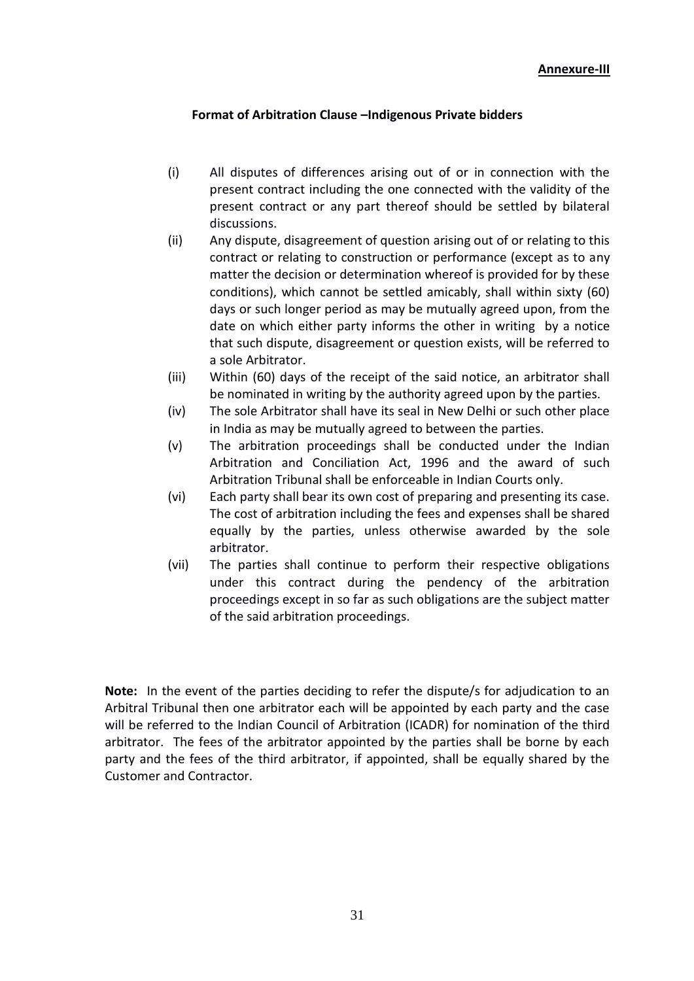# **Format of Arbitration Clause –Indigenous Private bidders**

- (i) All disputes of differences arising out of or in connection with the present contract including the one connected with the validity of the present contract or any part thereof should be settled by bilateral discussions.
- (ii) Any dispute, disagreement of question arising out of or relating to this contract or relating to construction or performance (except as to any matter the decision or determination whereof is provided for by these conditions), which cannot be settled amicably, shall within sixty (60) days or such longer period as may be mutually agreed upon, from the date on which either party informs the other in writing by a notice that such dispute, disagreement or question exists, will be referred to a sole Arbitrator.
- (iii) Within (60) days of the receipt of the said notice, an arbitrator shall be nominated in writing by the authority agreed upon by the parties.
- (iv) The sole Arbitrator shall have its seal in New Delhi or such other place in India as may be mutually agreed to between the parties.
- (v) The arbitration proceedings shall be conducted under the Indian Arbitration and Conciliation Act, 1996 and the award of such Arbitration Tribunal shall be enforceable in Indian Courts only.
- (vi) Each party shall bear its own cost of preparing and presenting its case. The cost of arbitration including the fees and expenses shall be shared equally by the parties, unless otherwise awarded by the sole arbitrator.
- (vii) The parties shall continue to perform their respective obligations under this contract during the pendency of the arbitration proceedings except in so far as such obligations are the subject matter of the said arbitration proceedings.

**Note:** In the event of the parties deciding to refer the dispute/s for adjudication to an Arbitral Tribunal then one arbitrator each will be appointed by each party and the case will be referred to the Indian Council of Arbitration (ICADR) for nomination of the third arbitrator. The fees of the arbitrator appointed by the parties shall be borne by each party and the fees of the third arbitrator, if appointed, shall be equally shared by the Customer and Contractor.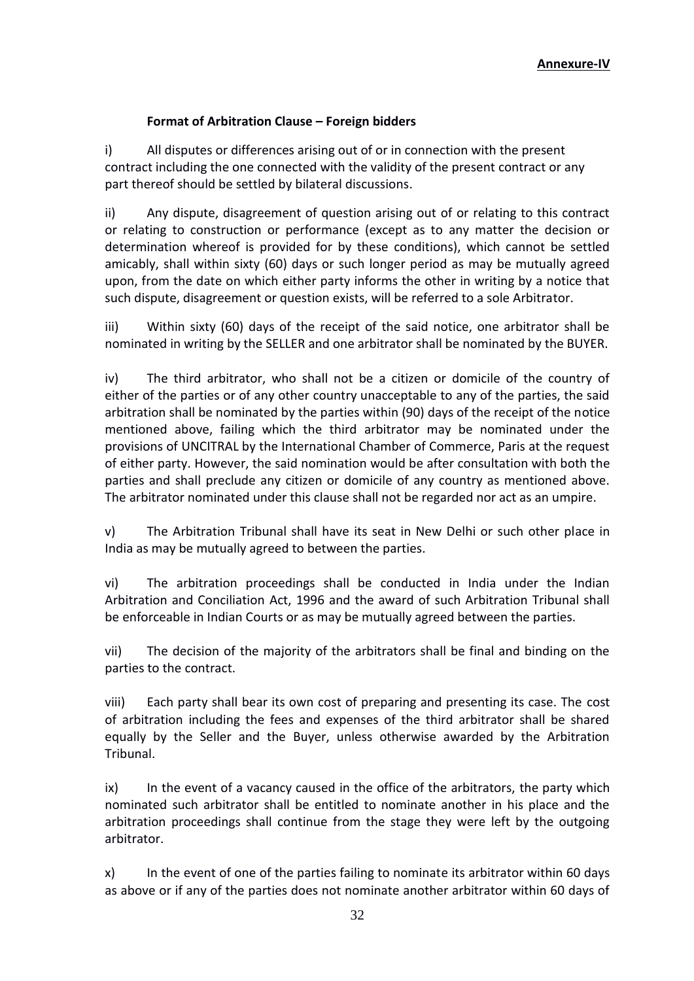# **Format of Arbitration Clause – Foreign bidders**

i) All disputes or differences arising out of or in connection with the present contract including the one connected with the validity of the present contract or any part thereof should be settled by bilateral discussions.

ii) Any dispute, disagreement of question arising out of or relating to this contract or relating to construction or performance (except as to any matter the decision or determination whereof is provided for by these conditions), which cannot be settled amicably, shall within sixty (60) days or such longer period as may be mutually agreed upon, from the date on which either party informs the other in writing by a notice that such dispute, disagreement or question exists, will be referred to a sole Arbitrator.

iii) Within sixty (60) days of the receipt of the said notice, one arbitrator shall be nominated in writing by the SELLER and one arbitrator shall be nominated by the BUYER.

iv) The third arbitrator, who shall not be a citizen or domicile of the country of either of the parties or of any other country unacceptable to any of the parties, the said arbitration shall be nominated by the parties within (90) days of the receipt of the notice mentioned above, failing which the third arbitrator may be nominated under the provisions of UNCITRAL by the International Chamber of Commerce, Paris at the request of either party. However, the said nomination would be after consultation with both the parties and shall preclude any citizen or domicile of any country as mentioned above. The arbitrator nominated under this clause shall not be regarded nor act as an umpire.

v) The Arbitration Tribunal shall have its seat in New Delhi or such other place in India as may be mutually agreed to between the parties.

vi) The arbitration proceedings shall be conducted in India under the Indian Arbitration and Conciliation Act, 1996 and the award of such Arbitration Tribunal shall be enforceable in Indian Courts or as may be mutually agreed between the parties.

vii) The decision of the majority of the arbitrators shall be final and binding on the parties to the contract.

viii) Each party shall bear its own cost of preparing and presenting its case. The cost of arbitration including the fees and expenses of the third arbitrator shall be shared equally by the Seller and the Buyer, unless otherwise awarded by the Arbitration Tribunal.

ix) In the event of a vacancy caused in the office of the arbitrators, the party which nominated such arbitrator shall be entitled to nominate another in his place and the arbitration proceedings shall continue from the stage they were left by the outgoing arbitrator.

x) In the event of one of the parties failing to nominate its arbitrator within 60 days as above or if any of the parties does not nominate another arbitrator within 60 days of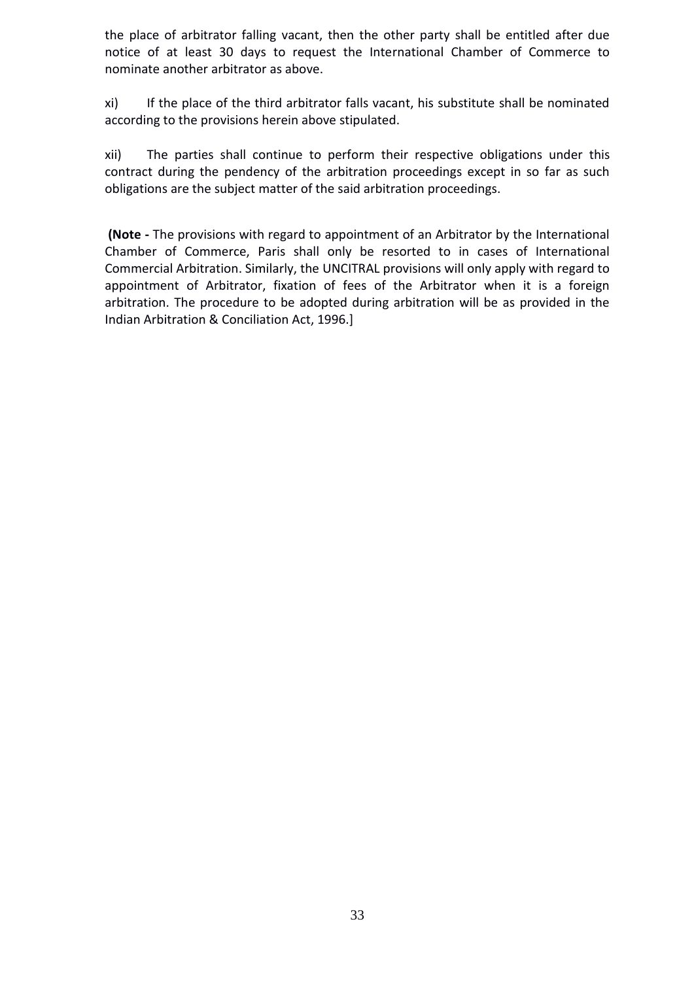the place of arbitrator falling vacant, then the other party shall be entitled after due notice of at least 30 days to request the International Chamber of Commerce to nominate another arbitrator as above.

xi) If the place of the third arbitrator falls vacant, his substitute shall be nominated according to the provisions herein above stipulated.

xii) The parties shall continue to perform their respective obligations under this contract during the pendency of the arbitration proceedings except in so far as such obligations are the subject matter of the said arbitration proceedings.

**(Note -** The provisions with regard to appointment of an Arbitrator by the International Chamber of Commerce, Paris shall only be resorted to in cases of International Commercial Arbitration. Similarly, the UNCITRAL provisions will only apply with regard to appointment of Arbitrator, fixation of fees of the Arbitrator when it is a foreign arbitration. The procedure to be adopted during arbitration will be as provided in the Indian Arbitration & Conciliation Act, 1996.]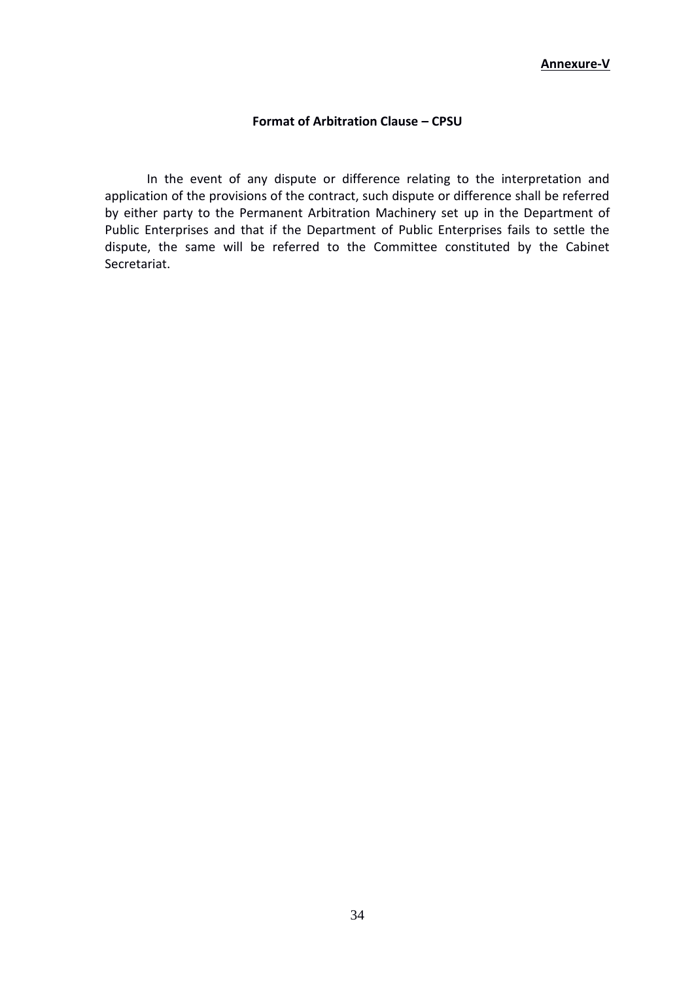#### **Format of Arbitration Clause – CPSU**

In the event of any dispute or difference relating to the interpretation and application of the provisions of the contract, such dispute or difference shall be referred by either party to the Permanent Arbitration Machinery set up in the Department of Public Enterprises and that if the Department of Public Enterprises fails to settle the dispute, the same will be referred to the Committee constituted by the Cabinet Secretariat.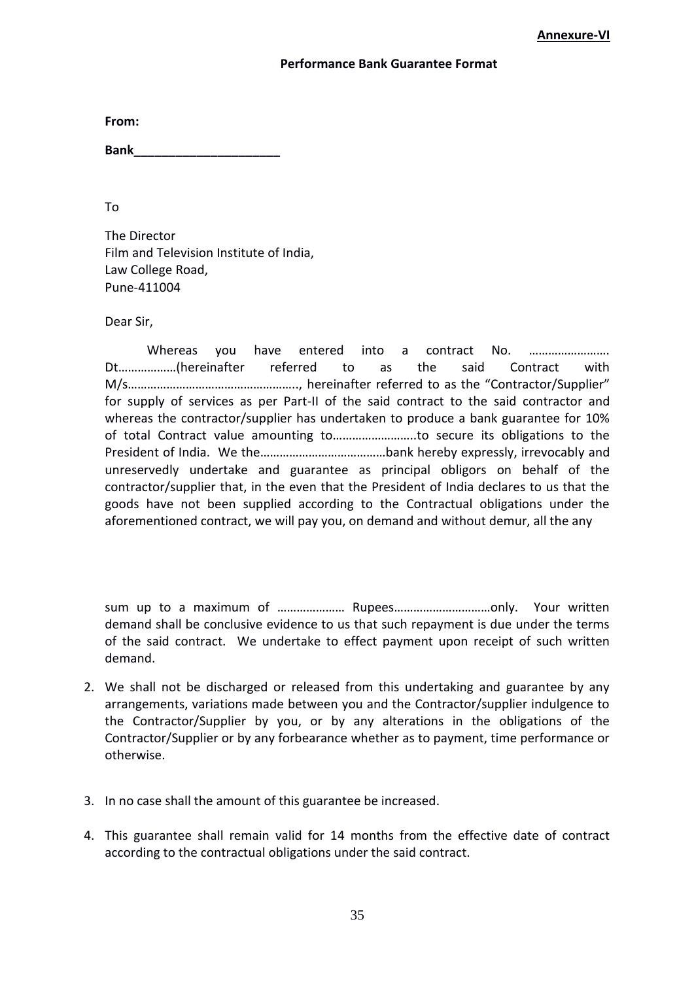#### **Performance Bank Guarantee Format**

**From:**

**Bank\_\_\_\_\_\_\_\_\_\_\_\_\_\_\_\_\_\_\_\_\_**

To

The Director Film and Television Institute of India, Law College Road, Pune-411004

Dear Sir,

Whereas you have entered into a contract No. ………………………… Dt………………(hereinafter referred to as the said Contract with M/s…………………………………………….., hereinafter referred to as the "Contractor/Supplier" for supply of services as per Part-II of the said contract to the said contractor and whereas the contractor/supplier has undertaken to produce a bank guarantee for 10% of total Contract value amounting to……………………..to secure its obligations to the President of India. We the…………………………………bank hereby expressly, irrevocably and unreservedly undertake and guarantee as principal obligors on behalf of the contractor/supplier that, in the even that the President of India declares to us that the goods have not been supplied according to the Contractual obligations under the aforementioned contract, we will pay you, on demand and without demur, all the any

sum up to a maximum of ………………… Rupees…………………………only. Your written demand shall be conclusive evidence to us that such repayment is due under the terms of the said contract. We undertake to effect payment upon receipt of such written demand.

- 2. We shall not be discharged or released from this undertaking and guarantee by any arrangements, variations made between you and the Contractor/supplier indulgence to the Contractor/Supplier by you, or by any alterations in the obligations of the Contractor/Supplier or by any forbearance whether as to payment, time performance or otherwise.
- 3. In no case shall the amount of this guarantee be increased.
- 4. This guarantee shall remain valid for 14 months from the effective date of contract according to the contractual obligations under the said contract.